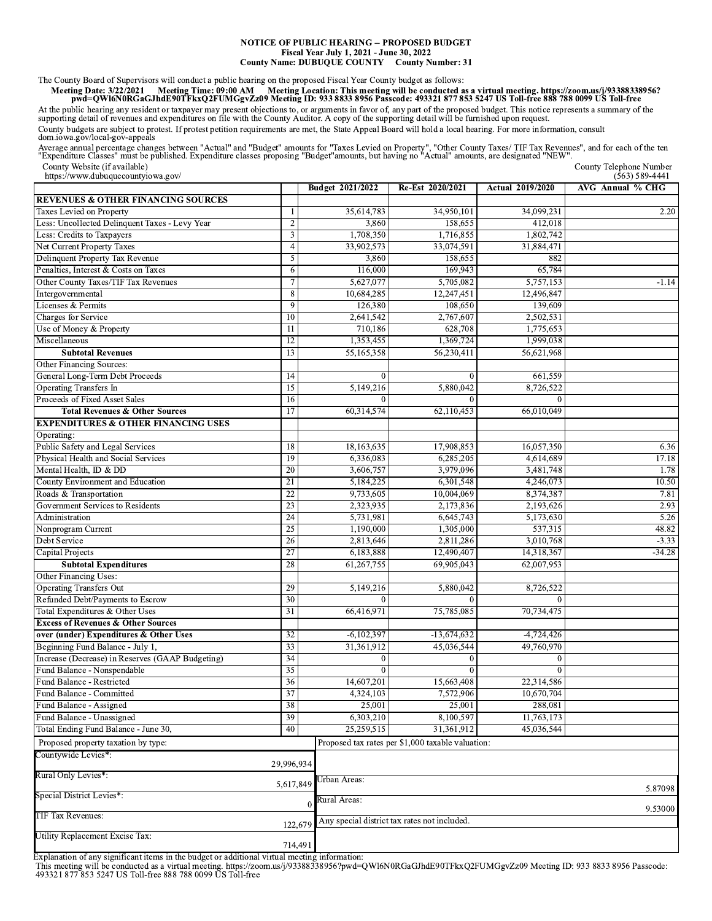## NOTICE OF PUBLIC HEARING -- PROPOSED BUDGET Fiscal Year July 1, 2021 - June 30, 2022 **County Name: DUBUQUE COUNTY County Number: 31**

The County Board of Supervisors will conduct a public hearing on the proposed Fiscal Year County budget as follows:<br>Meeting Date: 3/22/2021 Meeting Time: 09:00 AM Meeting Location: This meeting will be conducted as a virtu

At the public hearing any resident or taxpayer may present objections to, or arguments in favor of, any part of the proposed budget. This notice represents a summary of the supporting detail of revenues and expenditures on County budgets are subject to protest. If protest petition requirements are met, the State Appeal Board will hold a local hearing. For more information, consult dom.iowa.gov/local-gov-appeals

Average annual percentage changes between "Actual" and "Budget" amounts for "Taxes Levied on Property", "Other County Taxes/ TIF Tax Revenues", and for each of the ten<br>"Expenditure Classes" must be published. Expenditure c County Telephone Number<br>(563) 589-4441

County Website (if available)  $\alpha$ 

| $\mu$ ups.//www.uubuquecountylowa.gov/           |                         | Budget 2021/2022 | Re-Est 2020/2021                                  | <b>Actual 2019/2020</b> | $(303)309 - 4441$<br>AVG Annual % CHG |
|--------------------------------------------------|-------------------------|------------------|---------------------------------------------------|-------------------------|---------------------------------------|
| <b>REVENUES &amp; OTHER FINANCING SOURCES</b>    |                         |                  |                                                   |                         |                                       |
| Taxes Levied on Property                         | 1                       | 35,614,783       | 34,950,101                                        | 34,099,231              | 2.20                                  |
| Less: Uncollected Delinquent Taxes - Levy Year   | $\overline{2}$          | 3,860            | 158,655                                           | 412,018                 |                                       |
| Less: Credits to Taxpayers                       | $\overline{\mathbf{3}}$ | 1,708,350        | 1,716,855                                         | 1,802,742               |                                       |
| Net Current Property Taxes                       | $\overline{4}$          | 33,902,573       | 33,074,591                                        | 31,884,471              |                                       |
| Delinquent Property Tax Revenue                  | 5                       | 3,860            | 158,655                                           | 882                     |                                       |
| Penalties, Interest & Costs on Taxes             | 6                       | 116,000          | 169,943                                           | 65,784                  |                                       |
| Other County Taxes/TIF Tax Revenues              | 7                       | 5,627,077        | 5,705,082                                         | 5,757,153               | $-1.14$                               |
| Intergovernmental                                | $\overline{8}$          | 10.684,285       | 12,247,451                                        | 12,496,847              |                                       |
| Licenses & Permits                               | 9                       | 126,380          | 108,650                                           | 139,609                 |                                       |
| Charges for Service                              | 10                      | 2,641,542        | 2,767,607                                         | 2,502,531               |                                       |
| Use of Money & Property                          | 11                      | 710,186          | 628,708                                           | 1,775,653               |                                       |
| Miscellaneous                                    | 12                      | 1,353,455        | 1,369,724                                         | 1,999,038               |                                       |
| <b>Subtotal Revenues</b>                         | 13                      | 55,165,358       | 56,230,411                                        | 56,621,968              |                                       |
| Other Financing Sources:                         |                         |                  |                                                   |                         |                                       |
| General Long-Term Debt Proceeds                  | 14                      | $\theta$         | $\theta$                                          | 661,559                 |                                       |
| <b>Operating Transfers In</b>                    | $\overline{15}$         | 5,149,216        | 5,880,042                                         | 8,726,522               |                                       |
| Proceeds of Fixed Asset Sales                    | 16                      | $\Omega$         | $\Omega$                                          | $\theta$                |                                       |
| <b>Total Revenues &amp; Other Sources</b>        | 17                      | 60,314,574       | 62,110,453                                        | 66,010,049              |                                       |
| <b>EXPENDITURES &amp; OTHER FINANCING USES</b>   |                         |                  |                                                   |                         |                                       |
| Operating:                                       |                         |                  |                                                   |                         |                                       |
| Public Safety and Legal Services                 | 18                      | 18,163,635       | 17,908,853                                        | 16,057,350              | 6.36                                  |
| Physical Health and Social Services              | 19                      | 6,336,083        | 6,285,205                                         | 4,614,689               | 17.18                                 |
| Mental Health, ID & DD                           | 20                      | 3,606,757        | 3,979,096                                         | 3,481,748               | 1.78                                  |
| County Environment and Education                 | $\overline{21}$         | 5,184,225        | 6,301,548                                         | 4,246,073               | 10.50                                 |
| Roads & Transportation                           | 22                      | 9,733,605        | 10,004,069                                        | 8,374,387               | 7.81                                  |
| Government Services to Residents                 | 23                      | 2,323,935        | 2,173,836                                         | 2,193,626               | 2.93                                  |
| Administration                                   | 24                      | 5,731,981        | 6,645,743                                         | 5,173,630               | 5.26                                  |
| Nonprogram Current                               | 25                      | 1,190,000        | 1,305,000                                         | 537,315                 | 48.82                                 |
| Debt Service                                     | 26                      | 2,813,646        | 2,811,286                                         | 3,010,768               | $-3.33$                               |
| <b>Capital Projects</b>                          | 27                      | 6,183,888        | 12,490,407                                        | 14,318,367              | $-34.28$                              |
| <b>Subtotal Expenditures</b>                     | 28                      | 61,267,755       | 69,905,043                                        | 62,007,953              |                                       |
| Other Financing Uses:                            |                         |                  |                                                   |                         |                                       |
| <b>Operating Transfers Out</b>                   | 29                      | 5,149,216        | 5,880,042                                         | 8,726,522               |                                       |
| Refunded Debt/Payments to Escrow                 | 30                      |                  | $\Omega$                                          | $\Omega$                |                                       |
| Total Expenditures & Other Uses                  | 31                      | 66,416,971       | 75,785,085                                        | 70,734,475              |                                       |
| <b>Excess of Revenues &amp; Other Sources</b>    |                         |                  |                                                   |                         |                                       |
| over (under) Expenditures & Other Uses           | 32                      | $-6,102,397$     | $-13,674,632$                                     | $-4,724,426$            |                                       |
| Beginning Fund Balance - July 1,                 | 33                      | 31,361,912       | 45,036,544                                        | 49,760,970              |                                       |
| Increase (Decrease) in Reserves (GAAP Budgeting) | 34                      | $\boldsymbol{0}$ | $\mathbf{0}$                                      | $\boldsymbol{0}$        |                                       |
| Fund Balance - Nonspendable                      | 35                      | $\Omega$         | $\Omega$                                          | $\overline{0}$          |                                       |
| Fund Balance - Restricted                        | 36                      | 14,607,201       | 15,663,408                                        | 22,314,586              |                                       |
| Fund Balance - Committed                         | $\overline{37}$         | 4,324,103        | 7,572,906                                         | 10,670,704              |                                       |
| Fund Balance - Assigned                          | 38                      | 25,001           | 25,001                                            | 288,081                 |                                       |
| Fund Balance - Unassigned                        | 39                      | 6,303,210        | 8,100,597                                         | 11,763,173              |                                       |
| Total Ending Fund Balance - June 30,             | 40                      | 25,259,515       | 31,361,912                                        | 45,036,544              |                                       |
| Proposed property taxation by type:              |                         |                  | Proposed tax rates per \$1,000 taxable valuation: |                         |                                       |
| Countywide Levies*:                              |                         |                  |                                                   |                         |                                       |
|                                                  | 29,996,934              |                  |                                                   |                         |                                       |
| Rural Only Levies*:                              | 5,617,849               | Urban Areas:     |                                                   |                         |                                       |
| Special District Levies*:                        |                         | Rural Areas:     |                                                   |                         | 5.87098                               |
| TIF Tax Revenues:                                |                         | $\bf{0}$         |                                                   |                         | 9.53000                               |
|                                                  | 122,679                 |                  | Any special district tax rates not included.      |                         |                                       |
| Utility Replacement Excise Tax:                  | 714,491                 |                  |                                                   |                         |                                       |

Explanation of any significant items in the budget or additional virtual meeting information:<br>This meeting will be conducted as a virtual meeting. https://zoom.us/j/93388338956?pwd=QWI6N0RGaGJhdE90TFkxQ2FUMGgvZz09 Meeting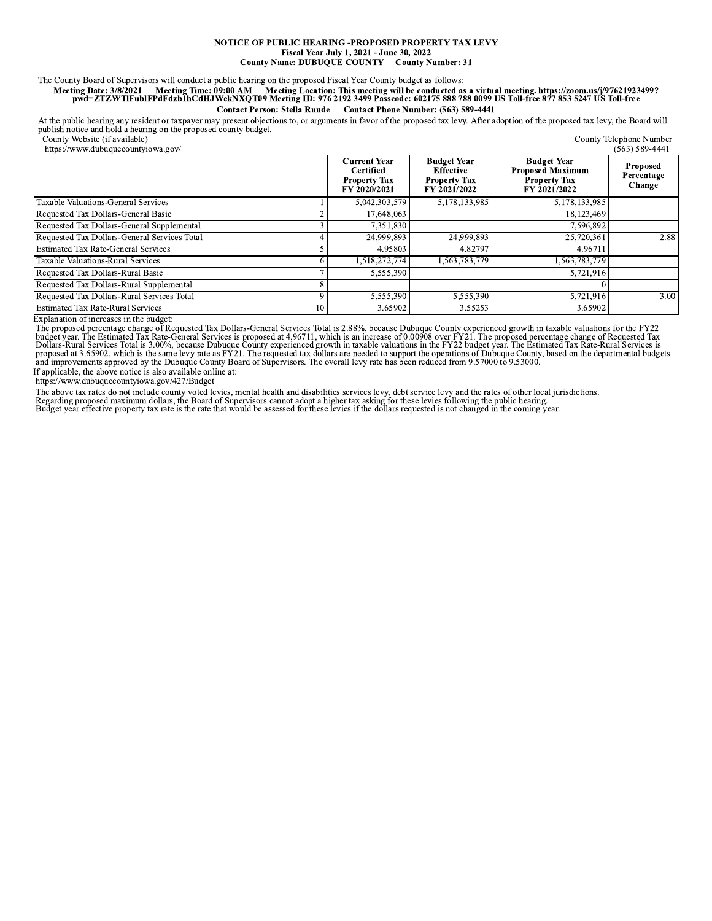## NOTICE OF PUBLIC HEARING -PROPOSED PROPERTY TAX LEVY Fiscal Year July 1, 2021 - June 30, 2022 **County Name: DUBUQUE COUNTY County Number: 31**

The County Board of Supervisors will conduct a public hearing on the proposed Fiscal Year County budget as follows:<br>Meeting Date: 3/8/2021 Meeting Time: 09:00 AM Meeting Location: This meeting will be conducted as a virtua Contact Person: Stella Runde Contact Phone Number: (563) 589-4441

At the public hearing any resident or taxpayer may present objections to, or arguments in favor of the proposed tax levy. After adoption of the proposed tax levy, the Board will publish notice and hold a hearing on the pro County Telephone Number

County Website (if available)

| https://www.dubuquecountyiowa.gov/           |    |                                                                         |                                                                               |                                                                                      | $(563) 589 - 4441$                      |
|----------------------------------------------|----|-------------------------------------------------------------------------|-------------------------------------------------------------------------------|--------------------------------------------------------------------------------------|-----------------------------------------|
|                                              |    | <b>Current Year</b><br>Certified<br><b>Property Tax</b><br>FY 2020/2021 | <b>Budget Year</b><br><b>Effective</b><br><b>Property Tax</b><br>FY 2021/2022 | <b>Budget Year</b><br><b>Proposed Maximum</b><br><b>Property Tax</b><br>FY 2021/2022 | <b>Proposed</b><br>Percentage<br>Change |
| Taxable Valuations-General Services          |    | 5,042,303,579                                                           | 5,178,133,985                                                                 | 5,178,133,985                                                                        |                                         |
| Requested Tax Dollars-General Basic          |    | 17,648,063                                                              |                                                                               | 18,123,469                                                                           |                                         |
| Requested Tax Dollars-General Supplemental   |    | 7,351,830                                                               |                                                                               | 7.596.892                                                                            |                                         |
| Requested Tax Dollars-General Services Total |    | 24,999,893                                                              | 24,999,893                                                                    | 25,720,361                                                                           | 2.88                                    |
| <b>Estimated Tax Rate-General Services</b>   |    | 4.95803                                                                 | 4.82797                                                                       | 4.96711                                                                              |                                         |
| Taxable Valuations-Rural Services            |    | 1,518,272,774                                                           | 1,563,783,779                                                                 | 1,563,783,779                                                                        |                                         |
| Requested Tax Dollars-Rural Basic            |    | 5,555,390                                                               |                                                                               | 5,721,916                                                                            |                                         |
| Requested Tax Dollars-Rural Supplemental     | 8  |                                                                         |                                                                               |                                                                                      |                                         |
| Requested Tax Dollars-Rural Services Total   | Q  | 5,555,390                                                               | 5,555,390                                                                     | 5,721,916                                                                            | 3.00                                    |
| <b>Estimated Tax Rate-Rural Services</b>     | 10 | 3.65902                                                                 | 3.55253                                                                       | 3.65902                                                                              |                                         |

Explanation of increases in the budget:

Explanation of increases in the butter of Requested Tax Dollars-General Services Total is 2.88%, because Dubuque County experienced growth in taxable valuations for the FY22<br>The proposed percentage change of Requested Tax<br> If applicable, the above notice is also available online at:

https://www.dubuquecountyiowa.gov/427/Budget

The above tax rates do not include county voted levies, mental health and disabilities services levy, debt service levy and the rates of other local jurisdictions.<br>Regarding proposed maximum dollars, the Board of Superviso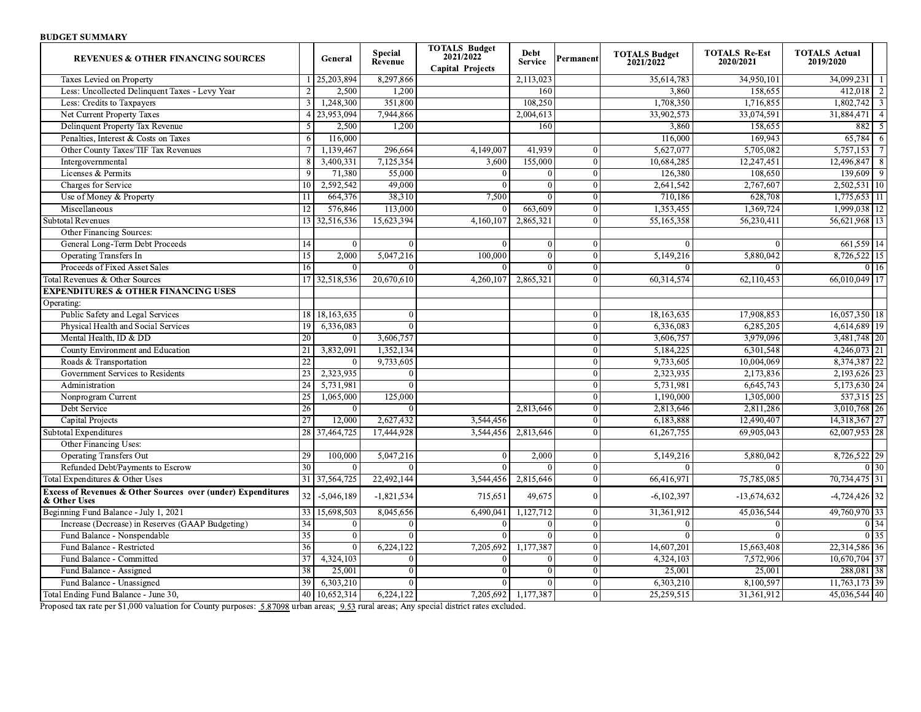## **BUDGET SUMMARY**

| <b>REVENUES &amp; OTHER FINANCING SOURCES</b>                                           |                 | General      | <b>Special</b><br>Revenue | <b>TOTALS Budget</b><br>2021/2022<br><b>Capital Projects</b> | Debt<br><b>Service</b> | Permanent      | <b>TOTALS Budget</b><br>2021/2022 | <b>TOTALS Re-Est</b><br>2020/2021 | <b>TOTALS Actual</b><br>2019/2020 |
|-----------------------------------------------------------------------------------------|-----------------|--------------|---------------------------|--------------------------------------------------------------|------------------------|----------------|-----------------------------------|-----------------------------------|-----------------------------------|
| Taxes Levied on Property                                                                |                 | 25,203,894   | 8,297,866                 |                                                              | 2,113,023              |                | 35,614,783                        | 34,950,101                        | 34,099,231<br>-1                  |
| Less: Uncollected Delinquent Taxes - Levy Year                                          | $\mathcal{D}$   | 2,500        | 1.200                     |                                                              | 160                    |                | 3.860                             | 158.655                           | $\overline{2}$<br>412,018         |
| Less: Credits to Taxpayers                                                              | 3               | 1,248,300    | 351,800                   |                                                              | 108,250                |                | 1,708,350                         | 1,716,855                         | 1,802,742<br>3                    |
| Net Current Property Taxes                                                              | $\overline{4}$  | 23,953,094   | 7,944,866                 |                                                              | 2,004,613              |                | 33,902,573                        | 33,074,591                        | 31,884,471<br>$\overline{4}$      |
| Delinquent Property Tax Revenue                                                         | 5               | 2,500        | 1,200                     |                                                              | 160                    |                | 3,860                             | 158,655                           | 882<br>-5                         |
| Penalties, Interest & Costs on Taxes                                                    | 6               | 116,000      |                           |                                                              |                        |                | 116,000                           | 169.943                           | 65,784                            |
| Other County Taxes/TIF Tax Revenues                                                     |                 | 1,139,467    | 296,664                   | 4,149,007                                                    | 41,939                 |                | 5,627,077                         | 5,705,082                         | 5,757,153<br>$\overline{7}$       |
| Intergovernmental                                                                       | 8               | 3,400,331    | 7,125,354                 | 3,600                                                        | 155,000                | $\overline{0}$ | 10,684,285                        | 12,247,451                        | 12,496,847<br>8                   |
| Licenses & Permits                                                                      | $\overline{Q}$  | 71,380       | 55,000                    | $\Omega$                                                     | $\Omega$               | $\theta$       | 126,380                           | 108,650                           | 139,609<br>$\overline{Q}$         |
| Charges for Service                                                                     | 10              | 2,592,542    | 49,000                    | $\Omega$                                                     | $\theta$               | $\theta$       | 2,641,542                         | 2,767,607                         | 2,502,531 10                      |
| Use of Money & Property                                                                 | 11              | 664,376      | 38,310                    | 7,500                                                        | $\Omega$               | $\Omega$       | 710,186                           | 628,708                           | 1,775,653<br>11                   |
| Miscellaneous                                                                           | 12              | 576,846      | 113,000                   |                                                              | 663,609                | $\Omega$       | 1,353,455                         | 1,369,724                         | 1,999,038 12                      |
| <b>Subtotal Revenues</b>                                                                | 13              | 32,516,536   | 15,623,394                | 4,160,107                                                    | 2,865,321              |                | 55,165,358                        | 56,230,411                        | 56,621,968 13                     |
| Other Financing Sources:                                                                |                 |              |                           |                                                              |                        |                |                                   |                                   |                                   |
| General Long-Term Debt Proceeds                                                         | 14              | $\Omega$     | $\theta$                  |                                                              | $\theta$               | $\overline{0}$ | $\Omega$                          | $\Omega$                          | 661,559 14                        |
| <b>Operating Transfers In</b>                                                           | 15              | 2,000        | 5,047,216                 | 100,000                                                      | $\theta$               | $\theta$       | 5,149,216                         | 5,880,042                         | 15<br>8,726,522                   |
| Proceeds of Fixed Asset Sales                                                           | 16              | $\Omega$     | $\Omega$                  | $\Omega$                                                     | $\Omega$               | $\Omega$       | $\Omega$                          | $\Omega$                          | 0 <sup>16</sup>                   |
| Total Revenues & Other Sources                                                          | 17              | 32,518,536   | 20,670,610                | 4,260,107                                                    | 2,865,321              | $\Omega$       | 60,314,574                        | 62,110,453                        | 66,010,049 17                     |
| <b>EXPENDITURES &amp; OTHER FINANCING USES</b>                                          |                 |              |                           |                                                              |                        |                |                                   |                                   |                                   |
| Operating:                                                                              |                 |              |                           |                                                              |                        |                |                                   |                                   |                                   |
| Public Safety and Legal Services                                                        | 18              | 18,163,635   | $\theta$                  |                                                              |                        | $\theta$       | 18,163,635                        | 17,908,853                        | 16,057,350   18                   |
| Physical Health and Social Services                                                     | 19              | 6,336,083    | $\theta$                  |                                                              |                        | $\theta$       | 6.336.083                         | 6.285.205                         | 4,614,689 19                      |
| Mental Health, ID & DD                                                                  | 20              |              | 3,606,757                 |                                                              |                        | $\theta$       | 3,606,757                         | 3.979.096                         | 3,481,748 20                      |
| County Environment and Education                                                        | 21              | 3,832,091    | 1,352,134                 |                                                              |                        | $\theta$       | 5,184,225                         | 6,301,548                         | 4,246,073 21                      |
| Roads & Transportation                                                                  | $\overline{22}$ |              | 9,733,605                 |                                                              |                        | $\Omega$       | 9,733,605                         | 10,004,069                        | 22<br>8,374,387                   |
| Government Services to Residents                                                        | 23              | 2,323,935    |                           |                                                              |                        | $\Omega$       | 2,323,935                         | 2,173,836                         | 2,193,626 23                      |
| Administration                                                                          | $\overline{24}$ | 5,731,981    | $\theta$                  |                                                              |                        | $\theta$       | 5,731,981                         | 6,645,743                         | 5,173,630 24                      |
| Nonprogram Current                                                                      | $\overline{25}$ | 1,065,000    | 125,000                   |                                                              |                        | $\theta$       | 1,190,000                         | 1,305,000                         | $\overline{537,315}$ 25           |
| Debt Service                                                                            | 26              | $\Omega$     |                           |                                                              | 2,813,646              | $\theta$       | 2,813,646                         | 2,811,286                         | 3,010,768 26                      |
| Capital Projects                                                                        | $\overline{27}$ | 12,000       | 2,627,432                 | 3,544,456                                                    |                        | $\Omega$       | 6.183.888                         | 12,490,407                        | 14,318,367 27                     |
| <b>Subtotal Expenditures</b>                                                            | 28              | 37,464,725   | 17,444,928                | 3,544,456                                                    | 2,813,646              | $\Omega$       | 61,267,755                        | 69,905,043                        | 62,007,953<br>28                  |
| Other Financing Uses:                                                                   |                 |              |                           |                                                              |                        |                |                                   |                                   |                                   |
| <b>Operating Transfers Out</b>                                                          | 29              | 100,000      | 5,047,216                 |                                                              | 2,000                  | $\Omega$       | 5,149,216                         | 5,880,042                         | 8,726,522 29                      |
| Refunded Debt/Payments to Escrow                                                        | $\overline{30}$ | $\theta$     | $\Omega$                  | $\theta$                                                     |                        | $\overline{0}$ | $\Omega$                          | $\Omega$                          | 0 <sup>30</sup>                   |
| Total Expenditures & Other Uses                                                         | $\overline{31}$ | 37,564,725   | 22,492,144                | 3,544,456                                                    | 2,815,646              | $\overline{0}$ | 66,416,971                        | 75,785,085                        | 70,734,475 31                     |
| <b>Excess of Revenues &amp; Other Sources over (under) Expenditures</b><br>& Other Uses | 32              | $-5,046,189$ | $-1,821,534$              | 715.651                                                      | 49.675                 | $\theta$       | $-6,102,397$                      | $-13.674.632$                     | $-4,724,426$ 32                   |
| Beginning Fund Balance - July 1, 2021                                                   | 33              | 15,698,503   | 8,045,656                 | 6,490,041                                                    | 1,127,712              | $\mathbf{0}$   | 31,361,912                        | 45,036,544                        | 49,760,970 33                     |
| Increase (Decrease) in Reserves (GAAP Budgeting)                                        | 34              | $\Omega$     | $\Omega$                  | $\Omega$                                                     | $\Omega$               | $\Omega$       | $\theta$                          | $\Omega$                          | $0\overline{)34}$                 |
| Fund Balance - Nonspendable                                                             | $\overline{35}$ | $\theta$     | $\Omega$                  | $\Omega$                                                     | $\Omega$               | $\theta$       | $\Omega$                          | $\Omega$                          | $0 \overline{35}$                 |
| Fund Balance - Restricted                                                               | $\overline{36}$ | $\Omega$     | 6,224,122                 | 7,205,692                                                    | 1,177,387              | $\Omega$       | 14,607,201                        | 15,663,408                        | 22,314,586 36                     |
| Fund Balance - Committed                                                                | 37              | 4,324,103    | $\overline{0}$            |                                                              |                        | $\Omega$       | 4,324,103                         | 7,572,906                         | 10,670,704 37                     |
| Fund Balance - Assigned                                                                 | 38              | 25,001       | $\Omega$                  |                                                              |                        | $\Omega$       | 25,001                            | 25,001                            | 288,081 38                        |
| Fund Balance - Unassigned                                                               | 39              | 6,303,210    | $\Omega$                  |                                                              |                        | $\Omega$       | 6,303,210                         | 8,100,597                         | 11,763,173 39                     |
| Total Ending Fund Balance - June 30,                                                    | 40              | 10,652,314   | 6.224,122                 |                                                              | 7,205,692 1,177,387    | $\overline{0}$ | 25,259,515                        | 31,361,912                        | 45,036,544 40                     |

Proposed tax rate per \$1,000 valuation for County purposes: 5.87098 urban areas; 9.53 rural areas; Any special district rates excluded.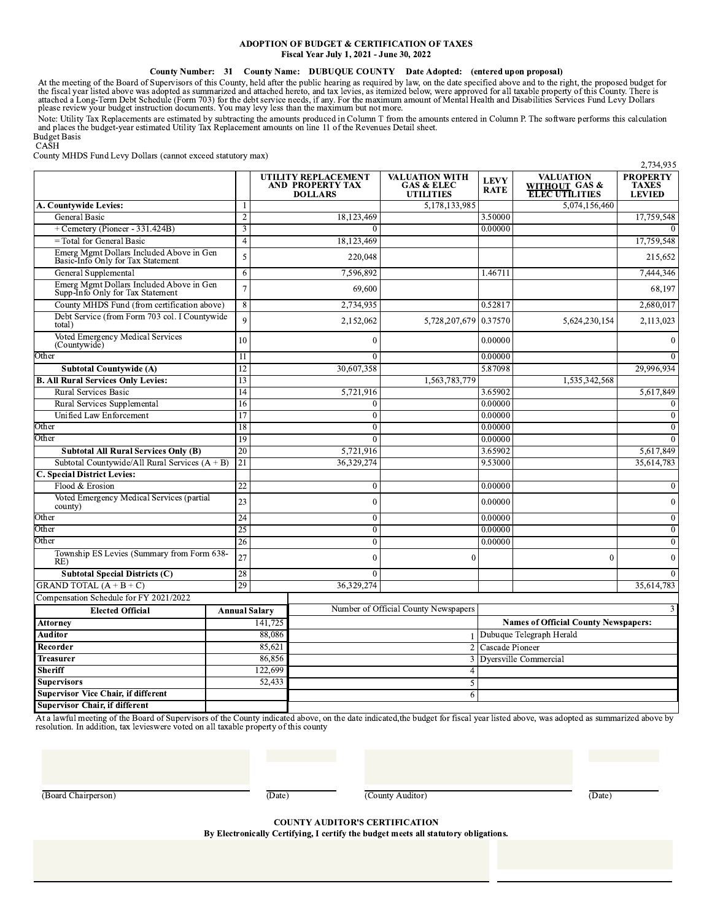## **ADOPTION OF BUDGET & CERTIFICATION OF TAXES** Fiscal Year July 1, 2021 - June 30, 2022

## County Number: 31 County Name: DUBUQUE COUNTY Date Adopted: (entered upon proposal)

At the meeting of the Board of Supervisors of this County, held after the public hearing as required by law, on the date specified above and to the right, the proposed budget for the fiscal year listed above was adopted as

Note: Utility Tax Replacements are estimated by subtracting the amounts produced in Column T from the amounts entered in Column P. The software performs this calculation and places the budget-year estimated Utility Tax Rep

**Budget Basis**  $CA\bar{S}H$ 

County MHDS Fund Levy Dollars (cannot exceed statutory max)

| County TWITDS I and Levy Donals (cannot exected statutory max                 |                      |                                                                  |              |                                                                    |                            |                                                            | 2,734,935                                        |
|-------------------------------------------------------------------------------|----------------------|------------------------------------------------------------------|--------------|--------------------------------------------------------------------|----------------------------|------------------------------------------------------------|--------------------------------------------------|
|                                                                               |                      | UTILITY REPLACEMENT<br><b>AND PROPERTY TAX</b><br><b>DOLLARS</b> |              | <b>VALUATION WITH</b><br><b>GAS &amp; ELEC</b><br><b>UTILITIES</b> | <b>LEVY</b><br><b>RATE</b> | <b>VALUATION</b><br>WITHOUT GAS &<br><b>ELEC UTILITIES</b> | <b>PROPERTY</b><br><b>TAXES</b><br><b>LEVIED</b> |
| A. Countywide Levies:                                                         |                      |                                                                  |              | 5,178,133,985                                                      |                            | 5,074,156,460                                              |                                                  |
| <b>General Basic</b>                                                          | $\overline{2}$       |                                                                  | 18,123,469   |                                                                    | 3.50000                    |                                                            | 17,759,548                                       |
| + Cemetery (Pioneer - 331.424B)                                               | 3                    |                                                                  | $\Omega$     |                                                                    | 0.00000                    |                                                            |                                                  |
| = Total for General Basic                                                     | $\overline{4}$       |                                                                  | 18,123,469   |                                                                    |                            |                                                            | 17,759,548                                       |
| Emerg Mgmt Dollars Included Above in Gen<br>Basic-Info Only for Tax Statement | 5                    |                                                                  | 220,048      |                                                                    |                            |                                                            | 215,652                                          |
| General Supplemental                                                          | 6                    |                                                                  | 7,596,892    |                                                                    | 1.46711                    |                                                            | 7,444,346                                        |
| Emerg Mgmt Dollars Included Above in Gen<br>Supp-Info Only for Tax Statement  | $\overline{7}$       |                                                                  | 69,600       |                                                                    |                            |                                                            | 68,197                                           |
| County MHDS Fund (from certification above)                                   | $\overline{8}$       |                                                                  | 2,734,935    |                                                                    | 0.52817                    |                                                            | 2,680,017                                        |
| Debt Service (from Form 703 col. I Countywide<br>total)                       | $\mathbf Q$          |                                                                  | 2,152,062    | 5,728,207,679 0.37570                                              |                            | 5,624,230,154                                              | 2,113,023                                        |
| Voted Emergency Medical Services<br>(Countywide)                              | 10                   |                                                                  | $\mathbf{0}$ |                                                                    | 0.00000                    |                                                            |                                                  |
| Other                                                                         | 11                   |                                                                  | $\Omega$     |                                                                    | 0.00000                    |                                                            |                                                  |
| <b>Subtotal Countywide (A)</b>                                                | 12                   |                                                                  | 30,607,358   |                                                                    | 5.87098                    |                                                            | 29,996,934                                       |
| <b>B. All Rural Services Only Levies:</b>                                     | 13                   |                                                                  |              | 1,563,783,779                                                      |                            | 1,535,342,568                                              |                                                  |
| <b>Rural Services Basic</b>                                                   | 14                   |                                                                  | 5,721,916    |                                                                    | 3.65902                    |                                                            | 5,617,849                                        |
| Rural Services Supplemental                                                   | 16                   |                                                                  | $\mathbf{0}$ |                                                                    | 0.00000                    |                                                            |                                                  |
| Unified Law Enforcement                                                       | 17                   |                                                                  | $\mathbf{0}$ |                                                                    | 0.00000                    |                                                            | $\Omega$                                         |
| Other                                                                         | 18                   |                                                                  | $\mathbf{0}$ |                                                                    | 0.00000                    |                                                            | $\Omega$                                         |
| Other                                                                         | 19                   |                                                                  | $\theta$     |                                                                    | 0.00000                    |                                                            |                                                  |
| <b>Subtotal All Rural Services Only (B)</b>                                   | 20                   |                                                                  | 5,721,916    |                                                                    | 3.65902                    |                                                            | 5,617,849                                        |
| Subtotal Countywide/All Rural Services $(A + B)$                              | 21                   |                                                                  | 36,329,274   |                                                                    | 9.53000                    |                                                            | 35,614,783                                       |
| <b>C. Special District Levies:</b>                                            |                      |                                                                  |              |                                                                    |                            |                                                            |                                                  |
| Flood & Erosion                                                               | 22                   |                                                                  | $\mathbf{0}$ |                                                                    | 0.00000                    |                                                            | $\bf{0}$                                         |
| Voted Emergency Medical Services (partial<br>county)                          | 23                   |                                                                  | $\theta$     |                                                                    | 0.00000                    |                                                            | 0                                                |
| Other                                                                         | 24                   |                                                                  | $\mathbf{0}$ |                                                                    | 0.00000                    |                                                            | $\theta$                                         |
| Other                                                                         | $\overline{25}$      |                                                                  | $\mathbf{0}$ |                                                                    | 0.00000                    |                                                            | $\mathbf{0}$                                     |
| Other                                                                         | 26                   |                                                                  | $\mathbf{0}$ |                                                                    | 0.00000                    |                                                            | $\mathbf{0}$                                     |
| Township ES Levies (Summary from Form 638-<br>RE)                             | 27                   |                                                                  | $\Omega$     | $\Omega$                                                           |                            | $\Omega$                                                   | $\Omega$                                         |
| <b>Subtotal Special Districts (C)</b>                                         | 28                   |                                                                  | $\Omega$     |                                                                    |                            |                                                            |                                                  |
| GRAND TOTAL $(A + B + C)$                                                     | 29                   |                                                                  | 36,329,274   |                                                                    |                            |                                                            | 35,614,783                                       |
| Compensation Schedule for FY 2021/2022                                        |                      |                                                                  |              |                                                                    |                            |                                                            |                                                  |
| <b>Elected Official</b>                                                       | <b>Annual Salary</b> |                                                                  |              | Number of Official County Newspapers                               |                            |                                                            |                                                  |
| <b>Attorney</b>                                                               |                      | 141.725                                                          |              |                                                                    |                            | <b>Names of Official County Newspapers:</b>                |                                                  |
| Auditor                                                                       |                      | 88,086                                                           |              |                                                                    |                            | 1 Dubuque Telegraph Herald                                 |                                                  |
| Recorder                                                                      |                      | 85,621                                                           |              |                                                                    | 2 Cascade Pioneer          |                                                            |                                                  |
| Treasurer                                                                     |                      | 86,856                                                           |              | 3                                                                  |                            | Dyersville Commercial                                      |                                                  |
| Sheriff                                                                       |                      | 122,699                                                          |              | $\overline{4}$                                                     |                            |                                                            |                                                  |
| <b>Supervisors</b>                                                            |                      | 52,433                                                           |              | 5                                                                  |                            |                                                            |                                                  |
| <b>Supervisor Vice Chair, if different</b>                                    |                      |                                                                  |              | 6                                                                  |                            |                                                            |                                                  |
| <b>Supervisor Chair, if different</b>                                         |                      |                                                                  |              |                                                                    |                            |                                                            |                                                  |

At a lawful meeting of the Board of Supervisors of the County indicated above, on the date indicated, the budget for fiscal year listed above, was adopted as summarized above by resolution. In addition, tax levieswere vote

(Board Chairperson)

(Date)

(County Auditor)

(Date)

**COUNTY AUDITOR'S CERTIFICATION** 

By Electronically Certifying, I certify the budget meets all statutory obligations.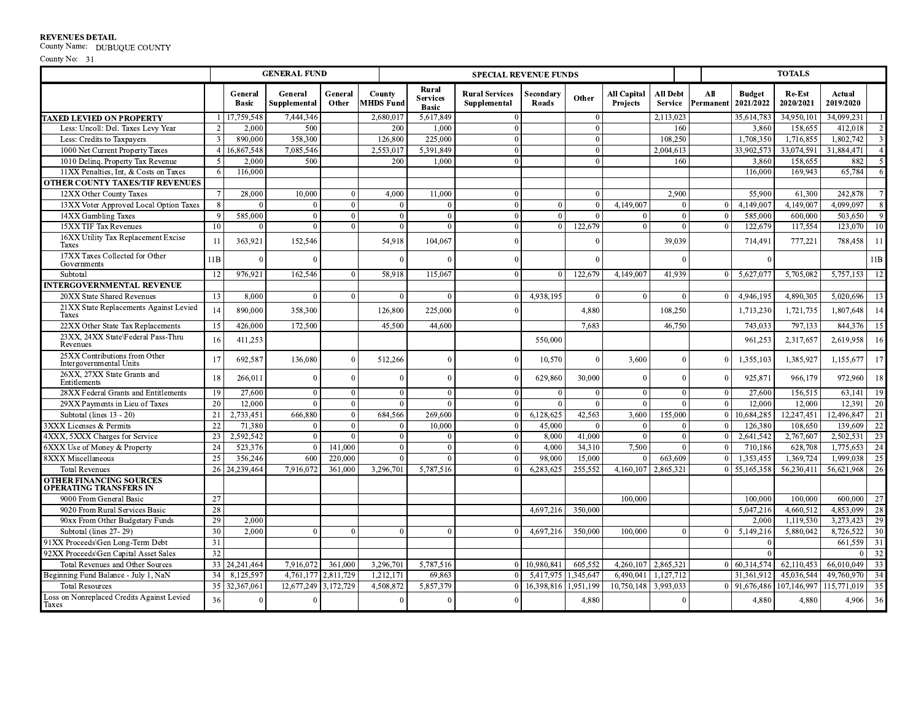**REVENUES DETAIL**<br>County Name: DUBUQUE COUNTY

|                                                          |                |                         | <b>GENERAL FUND</b>     |                  |                            |                                          | <b>SPECIAL REVENUE FUNDS</b>          |                    |                |                                       |                            |                  |                            | <b>TOTALS</b>       |                     |                         |
|----------------------------------------------------------|----------------|-------------------------|-------------------------|------------------|----------------------------|------------------------------------------|---------------------------------------|--------------------|----------------|---------------------------------------|----------------------------|------------------|----------------------------|---------------------|---------------------|-------------------------|
|                                                          |                | General<br><b>Basic</b> | General<br>Supplemental | General<br>Other | County<br><b>MHDS Fund</b> | Rural<br><b>Services</b><br><b>Basic</b> | <b>Rural Services</b><br>Supplemental | Secondary<br>Roads | Other          | <b>All Capital</b><br><b>Projects</b> | All Debt<br><b>Service</b> | All<br>Permanent | <b>Budget</b><br>2021/2022 | Re-Est<br>2020/2021 | Actual<br>2019/2020 |                         |
| <b>TAXED LEVIED ON PROPERTY</b>                          |                | 17,759,548              | 7,444,346               |                  | 2,680,017                  | 5,617,849                                | $\mathbf{0}$                          |                    | $\theta$       |                                       | 2,113,023                  |                  | 35,614,783                 | 34,950,101          | 34,099,231          |                         |
| Less: Uncoll: Del. Taxes Levy Year                       |                | 2,000                   | 500                     |                  | 200                        | 1,000                                    | $\overline{0}$                        |                    | $\theta$       |                                       | 160                        |                  | 3,860                      | 158,655             | 412,018             | 2                       |
| Less: Credits to Taxpayers                               | $\overline{3}$ | 890,000                 | 358,300                 |                  | 126,800                    | 225,000                                  | $\overline{0}$                        |                    | $\theta$       |                                       | 108,250                    |                  | 1,708,350                  | 1,716,855           | 1,802,742           | $\overline{\mathbf{3}}$ |
| 1000 Net Current Property Taxes                          |                | 4 16,867,548            | 7,085,546               |                  | 2,553,017                  | 5,391,849                                | $\overline{0}$                        |                    | $\theta$       |                                       | 2,004,613                  |                  | 33,902,573                 | 33,074,591          | 31.884.471          | $\overline{4}$          |
| 1010 Deling. Property Tax Revenue                        | 5              | 2,000                   | 500                     |                  | 200                        | 1.000                                    | $\theta$                              |                    | $\Omega$       |                                       | 160                        |                  | 3,860                      | 158,655             | 882                 | $\overline{5}$          |
| 11XX Penalties, Int, & Costs on Taxes                    | 6              | 116,000                 |                         |                  |                            |                                          |                                       |                    |                |                                       |                            |                  | 116,000                    | 169,943             | 65,784              | -6                      |
| <b>OTHER COUNTY TAXES/TIF REVENUES</b>                   |                |                         |                         |                  |                            |                                          |                                       |                    |                |                                       |                            |                  |                            |                     |                     |                         |
| 12XX Other County Taxes                                  |                | 28,000                  | 10,000                  | $\theta$         | 4.000                      | 11,000                                   | $\overline{0}$                        |                    | $\Omega$       |                                       | 2,900                      |                  | 55,900                     | 61,300              | 242,878             | $7\phantom{.0}$         |
| 13XX Voter Approved Local Option Taxes                   |                | $\theta$                | $\theta$                | $\theta$         |                            | $\Omega$<br>$\Omega$                     | $\overline{0}$                        | $\Omega$           | $\overline{0}$ | 4,149,007                             | $\Omega$                   | $\theta$         | 4,149,007                  | 4,149,007           | 4,099,097           | -8                      |
| 14XX Gambling Taxes                                      | $\mathbf Q$    | 585,000                 | $\theta$                | $\theta$         |                            | $\overline{0}$<br>$\Omega$               | $\overline{0}$                        | $\Omega$           | $\Omega$       | $\Omega$                              | $\Omega$                   | $\Omega$         | 585,000                    | 600,000             | 503,650             | $\overline{9}$          |
| 15XX TIF Tax Revenues                                    | 10             | $\theta$                | $\theta$                | $\Omega$         |                            | $\Omega$<br>$\Omega$                     | $\theta$                              | $\Omega$           | 122,679        | $\Omega$                              | $\Omega$                   | $\theta$         | 122,679                    | 117,554             | 123,070             | 10                      |
| 16XX Utility Tax Replacement Excise<br>Taxes             | 11             | 363,921                 | 152,546                 |                  | 54,918                     | 104,067                                  | $\Omega$                              |                    | $\Omega$       |                                       | 39,039                     |                  | 714,491                    | 777,221             | 788,458             | 11                      |
| 17XX Taxes Collected for Other<br>Governments            | 11B            | $\Omega$                |                         |                  |                            | $\Omega$<br>$\Omega$                     | $\Omega$                              |                    | $\sqrt{ }$     |                                       | $\Omega$                   |                  |                            |                     |                     | 11B                     |
| Subtotal                                                 | 12             | 976,921                 | 162,546                 | $\theta$         | 58.918                     | 115,067                                  | $\Omega$                              | $\Omega$           | 122,679        | 4,149,007                             | 41,939                     | $\Omega$         | 5,627,077                  | 5,705,082           | 5,757,153           | 12                      |
| <b>INTERGOVERNMENTAL REVENUE</b>                         |                |                         |                         |                  |                            |                                          |                                       |                    |                |                                       |                            |                  |                            |                     |                     |                         |
| 20XX State Shared Revenues                               | 13             | 8,000                   |                         | $\theta$         |                            | $\Omega$<br>$\Omega$                     | $\Omega$                              | 4,938,195          | $\Omega$       | $\Omega$                              | $\overline{0}$             | $\Omega$         | 4,946,195                  | 4,890,305           | 5,020,696           | 13                      |
| 21XX State Replacements Against Levied<br><b>Taxes</b>   | 14             | 890,000                 | 358,300                 |                  | 126,800                    | 225,000                                  |                                       |                    | 4,880          |                                       | 108,250                    |                  | 1,713,230                  | 1,721,735           | 1,807,648           | 14                      |
| 22XX Other State Tax Replacements                        | 15             | 426,000                 | 172,500                 |                  | 45.500                     | 44,600                                   |                                       |                    | 7,683          |                                       | 46,750                     |                  | 743,033                    | 797,133             | 844,376             | 15                      |
| 23XX, 24XX State\Federal Pass-Thru<br>Revenues           | 16             | 411,253                 |                         |                  |                            |                                          |                                       | 550,000            |                |                                       |                            |                  | 961,253                    | 2,317,657           | 2,619,958           | 16                      |
| 25XX Contributions from Other<br>Intergovernmental Units | 17             | 692.587                 | 136,080                 | $\Omega$         | 512,266                    | $\Omega$                                 |                                       | 10.570             | $\sqrt{ }$     | 3.600                                 |                            | $\Omega$         | 1,355,103                  | 1.385.927           | 1,155,677           | 17                      |
| 26XX, 27XX State Grants and<br>Entitlements              | 18             | 266,011                 |                         | $\theta$         |                            | $\overline{0}$                           |                                       | 629,860            | 30,000         | $\Omega$                              | $\Omega$                   | $\Omega$         | 925,871                    | 966,179             | 972,960             | 18                      |
| 28XX Federal Grants and Entitlements                     | 19             | 27,600                  | $\Omega$                | $\theta$         |                            | $\Omega$                                 |                                       |                    |                | $\Omega$                              |                            | $\Omega$         | 27,600                     | 156,515             | 63,141              | 19                      |
| 29XX Payments in Lieu of Taxes                           | 20             | 12,000                  |                         | $\theta$         |                            | $\Omega$                                 |                                       |                    |                | $\Omega$                              |                            | $\theta$         | 12.000                     | 12.000              | 12,391              | 20                      |
| Subtotal (lines 13 - 20)                                 | 21             | 2,733,451               | 666,880                 | $\theta$         | 684,566                    | 269,600                                  |                                       | 6,128,625          | 42,563         | 3,600                                 | 155,000                    | $\mathbf{0}$     | 10,684,285                 | 12,247,451          | 12,496,847          | 21                      |
| 3XXX Licenses & Permits                                  | 22             | 71,380                  |                         | $\theta$         |                            | 10,000                                   |                                       | 45,000             |                |                                       |                            |                  | 126,380                    | 108,650             | 139,609             | 22                      |
| 4XXX, 5XXX Charges for Service                           | 23             | 2,592,542               |                         | $\theta$         |                            |                                          | $\Omega$                              | 8.000              | 41,000         | $\Omega$                              | $\mathbf{0}$               | $\Omega$         | 2,641,542                  | 2,767,607           | 2,502,531           | 23                      |
| 6XXX Use of Money & Property                             | 24             | 523,376                 |                         | 141,000          |                            | $\Omega$                                 | $\Omega$                              | 4,000              | 34,310         | 7,500                                 |                            | $\theta$         | 710,186                    | 628,708             | 1,775,653           | 24                      |
| <b>8XXX Miscellaneous</b>                                | 25             | 356,246                 | 600                     | 220,000          |                            |                                          |                                       | 98,000             | 15,000         |                                       | 663,609                    | $\Omega$         | 1,353,455                  | 1,369,724           | 1.999.038           | 25                      |
| <b>Total Revenues</b>                                    | 26             | 24,239,464              | 7,916,072               | 361,000          | 3,296,701                  | 5,787,516                                |                                       | 6,283,625          | 255,552        | 4,160,107                             | 2,865,321                  | $\Omega$         | 55,165,358                 | 56,230,411          | 56,621,968          | 26                      |
| <b>OTHER FINANCING SOURCES</b><br>OPERATING TRANSFERS IN |                |                         |                         |                  |                            |                                          |                                       |                    |                |                                       |                            |                  |                            |                     |                     |                         |
| 9000 From General Basic                                  | 27             |                         |                         |                  |                            |                                          |                                       |                    |                | 100,000                               |                            |                  | 100,000                    | 100,000             | 600,000             | 27                      |
| 9020 From Rural Services Basic                           | 28             |                         |                         |                  |                            |                                          |                                       | 4.697.216          | 350,000        |                                       |                            |                  | 5,047,216                  | 4,660,512           | 4,853,099           | 28                      |
| 90xx From Other Budgetary Funds                          | 29             | 2,000                   |                         |                  |                            |                                          |                                       |                    |                |                                       |                            |                  | 2,000                      | 1,119,530           | 3,273,423           | 29                      |
| Subtotal (lines 27-29)                                   | 30             | 2,000                   | $\Omega$                | $\Omega$         |                            | $\theta$                                 |                                       | 4,697,216          | 350,000        | 100.000                               |                            | $\theta$         | 5,149,216                  | 5,880,042           | 8,726,522           | 30                      |
| 91XX Proceeds\Gen Long-Term Debt                         | 31             |                         |                         |                  |                            |                                          |                                       |                    |                |                                       |                            |                  |                            |                     | 661,559             | 31                      |
| 92XX Proceeds\Gen Capital Asset Sales                    | 32             |                         |                         |                  |                            |                                          |                                       |                    |                |                                       |                            |                  |                            |                     |                     | 32                      |
| <b>Total Revenues and Other Sources</b>                  | 33             | 24, 241, 464            | 7,916,072               | 361,000          | 3,296,701                  | 5,787,516                                |                                       | 10.980.841         | 605,552        | 4,260,107 2,865,321                   |                            | $\Omega$         | 60,314,574                 | 62,110,453          | 66,010,049          | 33                      |
| Beginning Fund Balance - July 1, NaN                     | 34             | 8,125,597               | 4,761,177 2,811,729     |                  | 1,212,171                  | 69.863                                   |                                       | 5,417,975          | 1,345,647      | 6.490.041                             | 1,127,712                  |                  | 31,361,912                 | 45,036,544          | 49,760,970          | 34                      |
| <b>Total Resources</b>                                   | 35             | 32,367,061              | 12,677,249 3,172,729    |                  | 4,508,872                  | 5,857,379                                |                                       | 16,398,816         | 1,951,199      | 10,750,148 3,993,033                  |                            |                  | 91,676,486                 | 107,146,997         | 115,771,019         | 35                      |
| Loss on Nonreplaced Credits Against Levied<br>Taxes      | 36             | $\mathbf{0}$            |                         |                  |                            | $\Omega$                                 |                                       |                    | 4,880          |                                       |                            |                  | 4,880                      | 4,880               | 4.906               | 36                      |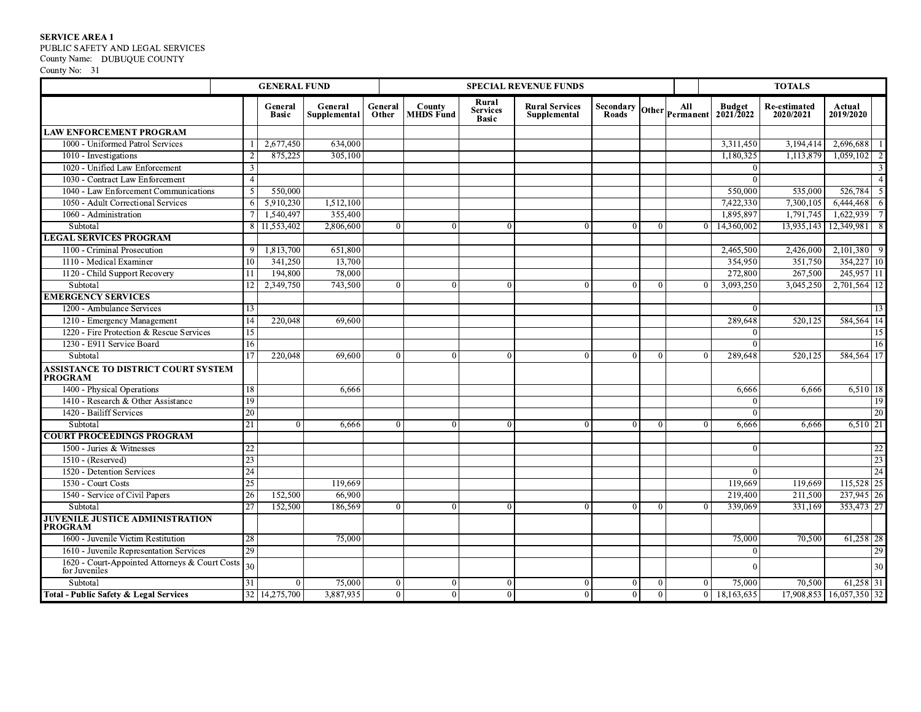SERVICE AREA 1<br>PUBLIC SAFETY AND LEGAL SERVICES

County Name: DUBUQUE COUNTY County No: 31

|                                                                 | <b>GENERAL FUND</b><br><b>SPECIAL REVENUE FUNDS</b> |                         |                         |                  |                |                            |                                          |                                       |                           | <b>TOTALS</b>  |          |                                                |                           |                          |                 |
|-----------------------------------------------------------------|-----------------------------------------------------|-------------------------|-------------------------|------------------|----------------|----------------------------|------------------------------------------|---------------------------------------|---------------------------|----------------|----------|------------------------------------------------|---------------------------|--------------------------|-----------------|
|                                                                 |                                                     | General<br><b>Basic</b> | General<br>Supplemental | General<br>Other |                | County<br><b>MHDS</b> Fund | Rural<br><b>Services</b><br><b>Basic</b> | <b>Rural Services</b><br>Supplemental | <b>Secondary</b><br>Roads | Other          | All      | <b>Budget</b><br>$\text{Permannent}$ 2021/2022 | Re-estimated<br>2020/2021 | Actual<br>2019/2020      |                 |
| <b>LAW ENFORCEMENT PROGRAM</b>                                  |                                                     |                         |                         |                  |                |                            |                                          |                                       |                           |                |          |                                                |                           |                          |                 |
| 1000 - Uniformed Patrol Services                                |                                                     | 2,677,450               | 634,000                 |                  |                |                            |                                          |                                       |                           |                |          | 3,311,450                                      | 3,194,414                 | 2,696,688                |                 |
| 1010 - Investigations                                           |                                                     | 875,225                 | 305,100                 |                  |                |                            |                                          |                                       |                           |                |          | 1.180.325                                      | 1.113.879                 | 1.059,102                |                 |
| 1020 - Unified Law Enforcement                                  | 3                                                   |                         |                         |                  |                |                            |                                          |                                       |                           |                |          | $\Omega$                                       |                           |                          | -3              |
| 1030 - Contract Law Enforcement                                 | $\overline{4}$                                      |                         |                         |                  |                |                            |                                          |                                       |                           |                |          | $\Omega$                                       |                           |                          |                 |
| 1040 - Law Enforcement Communications                           | 5                                                   | 550,000                 |                         |                  |                |                            |                                          |                                       |                           |                |          | 550,000                                        | 535,000                   | 526,784                  | - 5             |
| 1050 - Adult Correctional Services                              | 6                                                   | 5.910.230               | 1,512,100               |                  |                |                            |                                          |                                       |                           |                |          | 7,422,330                                      | 7.300.105                 | 6,444,468                | - 6             |
| 1060 - Administration                                           |                                                     | 1,540,497               | 355,400                 |                  |                |                            |                                          |                                       |                           |                |          | 1,895,897                                      | 1,791,745                 | 1,622,939                |                 |
| Subtotal                                                        |                                                     | 8 11,553,402            | 2,806,600               |                  | $\Omega$       | $\theta$                   | $\theta$                                 | $\Omega$                              | $\theta$                  | $\Omega$       | $\Omega$ | 14,360,002                                     | 13,935,143                | 12,349,981               | -8              |
| <b>LEGAL SERVICES PROGRAM</b>                                   |                                                     |                         |                         |                  |                |                            |                                          |                                       |                           |                |          |                                                |                           |                          |                 |
| 1100 - Criminal Prosecution                                     | 9                                                   | 1,813,700               | 651,800                 |                  |                |                            |                                          |                                       |                           |                |          | 2,465,500                                      | 2,426,000                 | $2,101,380$ 9            |                 |
| 1110 - Medical Examiner                                         | 10                                                  | 341,250                 | 13,700                  |                  |                |                            |                                          |                                       |                           |                |          | 354,950                                        | 351,750                   | 354,227 10               |                 |
| 1120 - Child Support Recovery                                   | 11                                                  | 194,800                 | 78,000                  |                  |                |                            |                                          |                                       |                           |                |          | 272,800                                        | 267,500                   | $245,957$ 11             |                 |
| Subtotal                                                        | 12                                                  | 2,349,750               | 743,500                 |                  | $\Omega$       | $\Omega$                   | $\Omega$                                 | $\Omega$                              | $\theta$                  | $\Omega$       | $\Omega$ | 3,093,250                                      | 3,045,250                 | 2,701,564 12             |                 |
| <b>EMERGENCY SERVICES</b>                                       |                                                     |                         |                         |                  |                |                            |                                          |                                       |                           |                |          |                                                |                           |                          |                 |
| 1200 - Ambulance Services                                       | 13                                                  |                         |                         |                  |                |                            |                                          |                                       |                           |                |          | $\Omega$                                       |                           |                          | 13              |
| 1210 - Emergency Management                                     | 14                                                  | 220,048                 | 69,600                  |                  |                |                            |                                          |                                       |                           |                |          | 289.648                                        | 520,125                   | 584,564 14               |                 |
| 1220 - Fire Protection & Rescue Services                        | 15                                                  |                         |                         |                  |                |                            |                                          |                                       |                           |                |          | $\Omega$                                       |                           |                          | 15              |
| 1230 - E911 Service Board                                       | 16                                                  |                         |                         |                  |                |                            |                                          |                                       |                           |                |          | $\overline{0}$                                 |                           |                          | 16              |
| Subtotal                                                        | 17                                                  | 220,048                 | 69,600                  |                  | $\Omega$       | $\mathbf{0}$               | $\theta$                                 | $\theta$                              | $\mathbf{0}$              | $\Omega$       | $\Omega$ | 289,648                                        | 520,125                   | 584,564 17               |                 |
| ASSISTANCE TO DISTRICT COURT SYSTEM<br><b>PROGRAM</b>           |                                                     |                         |                         |                  |                |                            |                                          |                                       |                           |                |          |                                                |                           |                          |                 |
| 1400 - Physical Operations                                      | 18                                                  |                         | 6,666                   |                  |                |                            |                                          |                                       |                           |                |          | 6,666                                          | 6,666                     | $6,510$ 18               |                 |
| 1410 - Research & Other Assistance                              | 19                                                  |                         |                         |                  |                |                            |                                          |                                       |                           |                |          | $\Omega$                                       |                           |                          | 19              |
| 1420 - Bailiff Services                                         | 20                                                  |                         |                         |                  |                |                            |                                          |                                       |                           |                |          | $\Omega$                                       |                           |                          | 20              |
| Subtotal                                                        | 21                                                  | $\Omega$                | 6,666                   |                  | $\Omega$       | $\theta$                   | $\Omega$                                 | $\Omega$                              | $\theta$                  | $\Omega$       | $\Omega$ | 6,666                                          | 6,666                     | 6,510 21                 |                 |
| <b>COURT PROCEEDINGS PROGRAM</b>                                |                                                     |                         |                         |                  |                |                            |                                          |                                       |                           |                |          |                                                |                           |                          |                 |
| 1500 - Juries & Witnesses                                       | 22                                                  |                         |                         |                  |                |                            |                                          |                                       |                           |                |          | $\Omega$                                       |                           |                          | $\overline{22}$ |
| $1510 - (Reserved)$                                             | 23                                                  |                         |                         |                  |                |                            |                                          |                                       |                           |                |          |                                                |                           |                          | 23              |
| 1520 - Detention Services                                       | 24                                                  |                         |                         |                  |                |                            |                                          |                                       |                           |                |          | $\overline{0}$                                 |                           |                          | 24              |
| 1530 - Court Costs                                              | 25                                                  |                         | 119,669                 |                  |                |                            |                                          |                                       |                           |                |          | 119,669                                        | 119,669                   | 115,528 25               |                 |
| 1540 - Service of Civil Papers                                  | 26                                                  | 152,500                 | 66,900                  |                  |                |                            |                                          |                                       |                           |                |          | 219,400                                        | 211,500                   | 237,945 26               |                 |
| Subtotal                                                        | $\overline{27}$                                     | 152,500                 | 186,569                 |                  | $\Omega$       | $\theta$                   | $\Omega$                                 | $\Omega$                              | $\mathbf{0}$              | $\Omega$       | $\Omega$ | 339,069                                        | 331,169                   | 353,473 27               |                 |
| <b>JUVENILE JUSTICE ADMINISTRATION</b><br><b>PROGRAM</b>        |                                                     |                         |                         |                  |                |                            |                                          |                                       |                           |                |          |                                                |                           |                          |                 |
| 1600 - Juvenile Victim Restitution                              | 28                                                  |                         | 75,000                  |                  |                |                            |                                          |                                       |                           |                |          | 75,000                                         | 70,500                    | $61,258$ 28              |                 |
| 1610 - Juvenile Representation Services                         | $\overline{29}$                                     |                         |                         |                  |                |                            |                                          |                                       |                           |                |          | $\Omega$                                       |                           |                          | 29              |
| 1620 - Court-Appointed Attorneys & Court Costs<br>for Juveniles | 30 <sup>°</sup>                                     |                         |                         |                  |                |                            |                                          |                                       |                           |                |          | $\Omega$                                       |                           |                          | 30              |
| Subtotal                                                        | 31                                                  | $\Omega$                | 75,000                  |                  | $\overline{0}$ | $\theta$                   | $\theta$                                 | $\vert$ 0                             | $\theta$                  | $\overline{0}$ | $\Omega$ | 75,000                                         | 70,500                    | $61,258$ 31              |                 |
| <b>Total - Public Safety &amp; Legal Services</b>               |                                                     | 32 14,275,700           | 3.887,935               |                  | $\Omega$       | $\theta$                   | $\Omega$                                 | $\overline{0}$                        | $\Omega$                  | $\Omega$       |          | 0 18,163,635                                   |                           | 17,908,853 16,057,350 32 |                 |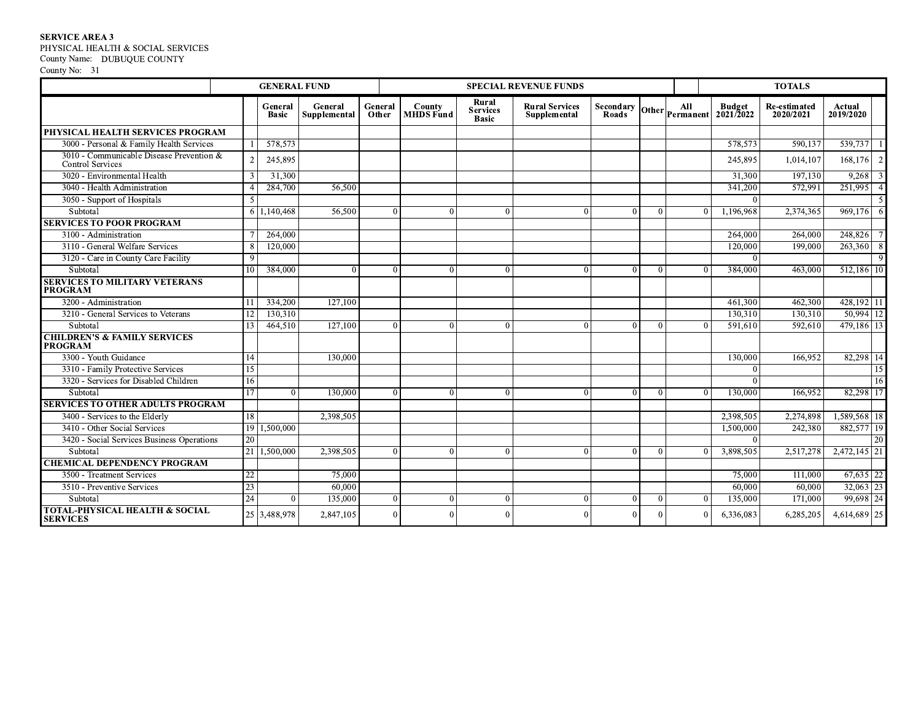SERVICE AREA 3<br>PHYSICAL HEALTH & SOCIAL SERVICES County Name: DUBUQUE COUNTY<br>County No: 31

|                                                                     |                           | <b>GENERAL FUND</b>     |                         |                  |                            |                                          | <b>SPECIAL REVENUE FUNDS</b>          |                                        |          |          |                                    | <b>TOTALS</b>                    |                                   |
|---------------------------------------------------------------------|---------------------------|-------------------------|-------------------------|------------------|----------------------------|------------------------------------------|---------------------------------------|----------------------------------------|----------|----------|------------------------------------|----------------------------------|-----------------------------------|
|                                                                     |                           | General<br><b>Basic</b> | General<br>Supplemental | General<br>Other | County<br><b>MHDS</b> Fund | Rural<br><b>Services</b><br><b>Basic</b> | <b>Rural Services</b><br>Supplemental | Secondary Other Permanent <sup>1</sup> |          |          | <b>Budget</b><br>$2021/\bar{2}022$ | <b>Re-estimated</b><br>2020/2021 | Actual<br>2019/2020               |
| PHYSICAL HEALTH SERVICES PROGRAM                                    |                           |                         |                         |                  |                            |                                          |                                       |                                        |          |          |                                    |                                  |                                   |
| 3000 - Personal & Family Health Services                            |                           | 578,573                 |                         |                  |                            |                                          |                                       |                                        |          |          | 578,573                            | 590,137                          | 539,737<br>-1                     |
| 3010 - Communicable Disease Prevention &<br><b>Control Services</b> |                           | 245,895                 |                         |                  |                            |                                          |                                       |                                        |          |          | 245.895                            | 1,014,107                        | 2<br>168,176                      |
| 3020 - Environmental Health                                         |                           | 31,300                  |                         |                  |                            |                                          |                                       |                                        |          |          | 31,300                             | 197.130                          | 9,268<br>$\overline{\phantom{a}}$ |
| 3040 - Health Administration                                        |                           | 284,700                 | 56,500                  |                  |                            |                                          |                                       |                                        |          |          | 341,200                            | 572,991                          | 251,995<br>$\overline{4}$         |
| 3050 - Support of Hospitals                                         |                           |                         |                         |                  |                            |                                          |                                       |                                        |          |          | $\Omega$                           |                                  |                                   |
| Subtotal                                                            |                           | 6 1,140,468             | 56,500                  |                  | $\Omega$<br>$\Omega$       | $\Omega$                                 | $\Omega$                              | $\mathbf{0}$                           | $\Omega$ | $\Omega$ | 1.196.968                          | 2,374,365                        | 969,176<br>6                      |
| <b>SERVICES TO POOR PROGRAM</b>                                     |                           |                         |                         |                  |                            |                                          |                                       |                                        |          |          |                                    |                                  |                                   |
| 3100 - Administration                                               |                           | 264,000                 |                         |                  |                            |                                          |                                       |                                        |          |          | 264,000                            | 264,000                          | 248,826<br>$\overline{7}$         |
| 3110 - General Welfare Services                                     |                           | 120,000                 |                         |                  |                            |                                          |                                       |                                        |          |          | 120,000                            | 199,000                          | 263,360<br>8                      |
| 3120 - Care in County Care Facility                                 | -9                        |                         |                         |                  |                            |                                          |                                       |                                        |          |          | $\Omega$                           |                                  | $\mathbf{Q}$                      |
| Subtotal                                                            | 10                        | 384,000                 | $\Omega$                |                  | $\Omega$<br>$\Omega$       | $\theta$                                 | $\theta$                              | $\overline{0}$                         | $\Omega$ | $\Omega$ | 384,000                            | 463,000                          | $512,186$ 10                      |
| <b>SERVICES TO MILITARY VETERANS</b><br><b>PROGRAM</b>              |                           |                         |                         |                  |                            |                                          |                                       |                                        |          |          |                                    |                                  |                                   |
| 3200 - Administration                                               | $\mathbf{1}^{\mathbf{1}}$ | 334,200                 | 127,100                 |                  |                            |                                          |                                       |                                        |          |          | 461,300                            | 462,300                          | 428,192 11                        |
| 3210 - General Services to Veterans                                 | 12                        | 130.310                 |                         |                  |                            |                                          |                                       |                                        |          |          | 130,310                            | 130.310                          | 50.994 12                         |
| Subtotal                                                            | 13                        | 464,510                 | 127,100                 |                  | $\Omega$<br>$\Omega$       | $\Omega$                                 | $\Omega$                              | $\theta$                               | $\Omega$ | $\Omega$ | 591,610                            | 592,610                          | 479,186 13                        |
| <b>CHILDREN'S &amp; FAMILY SERVICES</b><br><b>PROGRAM</b>           |                           |                         |                         |                  |                            |                                          |                                       |                                        |          |          |                                    |                                  |                                   |
| 3300 - Youth Guidance                                               | 14                        |                         | 130,000                 |                  |                            |                                          |                                       |                                        |          |          | 130,000                            | 166.952                          | 82,298 14                         |
| 3310 - Family Protective Services                                   | 15                        |                         |                         |                  |                            |                                          |                                       |                                        |          |          | $\Omega$                           |                                  | 15                                |
| 3320 - Services for Disabled Children                               | 16                        |                         |                         |                  |                            |                                          |                                       |                                        |          |          | $\Omega$                           |                                  | 16                                |
| Subtotal                                                            | 17                        | $\Omega$                | 130.000                 |                  | $\Omega$<br>$\Omega$       | $\Omega$                                 |                                       | $\theta$                               |          |          | 130,000                            | 166,952                          | 82,298 17                         |
| <b>SERVICES TO OTHER ADULTS PROGRAM</b>                             |                           |                         |                         |                  |                            |                                          |                                       |                                        |          |          |                                    |                                  |                                   |
| 3400 - Services to the Elderly                                      | 18                        |                         | 2,398,505               |                  |                            |                                          |                                       |                                        |          |          | 2,398,505                          | 2.274.898                        | 1,589,568 18                      |
| 3410 - Other Social Services                                        |                           | 19 1,500,000            |                         |                  |                            |                                          |                                       |                                        |          |          | 1,500,000                          | 242,380                          | 882,577 19                        |
| 3420 - Social Services Business Operations                          | 20                        |                         |                         |                  |                            |                                          |                                       |                                        |          |          | $\Omega$                           |                                  | 20                                |
| Subtotal                                                            |                           | 21 1,500,000            | 2,398,505               |                  | $\Omega$<br>$\Omega$       | $\Omega$                                 | $\Omega$                              | $\theta$                               | ∩        |          | 3,898,505                          | 2,517,278                        | $2,472,145$ 21                    |
| <b>CHEMICAL DEPENDENCY PROGRAM</b>                                  |                           |                         |                         |                  |                            |                                          |                                       |                                        |          |          |                                    |                                  |                                   |
| 3500 - Treatment Services                                           | 22                        |                         | 75,000                  |                  |                            |                                          |                                       |                                        |          |          | 75,000                             | 111,000                          | $67,635$ 22                       |
| 3510 - Preventive Services                                          | 23                        |                         | 60,000                  |                  |                            |                                          |                                       |                                        |          |          | 60,000                             | 60,000                           | $32,063$ 23                       |
| Subtotal                                                            | $\overline{24}$           | $\Omega$                | 135,000                 |                  | $\Omega$<br>$\Omega$       | $\Omega$                                 | $\Omega$                              | $\overline{0}$                         | $\Omega$ | $\Omega$ | 135,000                            | 171,000                          | 99,698 24                         |
| <b>TOTAL-PHYSICAL HEALTH &amp; SOCIAL</b><br><b>SERVICES</b>        |                           | 25 3,488,978            | 2,847,105               |                  | $\Omega$<br>$\Omega$       |                                          |                                       | $\overline{0}$                         |          | $\Omega$ | 6,336,083                          | 6,285,205                        | 4,614,689 25                      |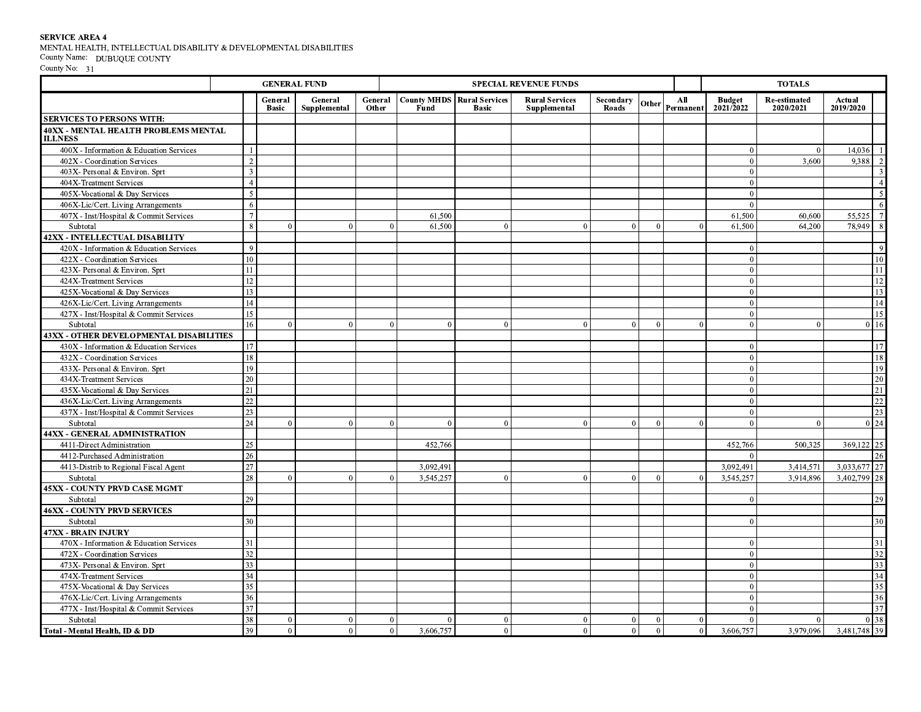${\bf SERVICE}$  AREA 4 MENTAL HEALTH, INTELLECTUAL DISABILITY & DEVELOPMENTAL DISABILITIES County Name:  $\;$  DUBUQUE COUNTY

|                                                               |                    | <b>GENERAL FUND</b><br><b>SPECIAL REVENUE FUNDS</b> |                         |                  |                                           |              |                                       |                    |          |                        | <b>TOTALS</b>                      |                           |                           |
|---------------------------------------------------------------|--------------------|-----------------------------------------------------|-------------------------|------------------|-------------------------------------------|--------------|---------------------------------------|--------------------|----------|------------------------|------------------------------------|---------------------------|---------------------------|
|                                                               |                    | General<br><b>Basic</b>                             | General<br>Supplemental | General<br>Other | <b>County MHDS Rural Services</b><br>Fund | <b>Basic</b> | <b>Rural Services</b><br>Supplemental | Secondary<br>Roads |          | All<br>Other Permanent | <b>Budget</b><br>$2021/\bar{2}022$ | Re-estimated<br>2020/2021 | Actual<br>2019/2020       |
| <b>SERVICES TO PERSONS WITH:</b>                              |                    |                                                     |                         |                  |                                           |              |                                       |                    |          |                        |                                    |                           |                           |
| <b>40XX - MENTAL HEALTH PROBLEMS MENTAL</b><br><b>ILLNESS</b> |                    |                                                     |                         |                  |                                           |              |                                       |                    |          |                        |                                    |                           |                           |
| 400X - Information & Education Services                       |                    |                                                     |                         |                  |                                           |              |                                       |                    |          |                        | $\Omega$                           | $\theta$                  | 14,036                    |
| 402X - Coordination Services                                  | $\mathcal{L}$      |                                                     |                         |                  |                                           |              |                                       |                    |          |                        | $\Omega$                           | 3,600                     | 9,388<br>2                |
| 403X- Personal & Environ. Sprt                                | 3                  |                                                     |                         |                  |                                           |              |                                       |                    |          |                        | $\Omega$                           |                           | $\overline{\mathbf{3}}$   |
| 404X-Treatment Services                                       | $\overline{4}$     |                                                     |                         |                  |                                           |              |                                       |                    |          |                        | $\overline{0}$                     |                           | $\sqrt{4}$                |
| 405X-Vocational & Day Services                                | 5                  |                                                     |                         |                  |                                           |              |                                       |                    |          |                        | $\Omega$                           |                           | $\overline{\mathbf{5}}$   |
| 406X-Lic/Cert. Living Arrangements                            |                    |                                                     |                         |                  |                                           |              |                                       |                    |          |                        | $\Omega$                           |                           | 6                         |
| 407X - Inst/Hospital & Commit Services                        | $\overline{1}$     |                                                     |                         |                  | 61,500                                    |              |                                       |                    |          |                        | 61,500                             | 60,600                    | $7\overline{ }$<br>55,525 |
| Subtotal                                                      | $\mathbf{\hat{x}}$ | $\Omega$                                            | $\Omega$                | $\Omega$         | 61,500                                    | $\Omega$     | $\Omega$                              | $\Omega$           | $\Omega$ | $\Omega$               | 61,500                             | 64,200                    | $\overline{8}$<br>78,949  |
| <b>42XX - INTELLECTUAL DISABILITY</b>                         |                    |                                                     |                         |                  |                                           |              |                                       |                    |          |                        |                                    |                           |                           |
| 420X - Information & Education Services                       | $\mathbf{Q}$       |                                                     |                         |                  |                                           |              |                                       |                    |          |                        | $\theta$                           |                           | $\overline{9}$            |
| 422X - Coordination Services                                  | 10                 |                                                     |                         |                  |                                           |              |                                       |                    |          |                        | $\Omega$                           |                           | 10                        |
| 423X- Personal & Environ. Sprt                                | 11                 |                                                     |                         |                  |                                           |              |                                       |                    |          |                        | $\overline{0}$                     |                           | 11                        |
| 424X-Treatment Services                                       | 12                 |                                                     |                         |                  |                                           |              |                                       |                    |          |                        | $\Omega$                           |                           | $12 \text{ }$             |
| 425X-Vocational & Day Services                                | 13                 |                                                     |                         |                  |                                           |              |                                       |                    |          |                        | $\Omega$                           |                           | $\overline{13}$           |
| 426X-Lic/Cert. Living Arrangements                            | 14                 |                                                     |                         |                  |                                           |              |                                       |                    |          |                        | $\theta$                           |                           | $\overline{14}$           |
| 427X - Inst/Hospital & Commit Services                        | 15                 |                                                     |                         |                  |                                           |              |                                       |                    |          |                        | $\overline{0}$                     |                           | 15                        |
| Subtotal                                                      | 16                 | $\Omega$                                            | $\Omega$                | $\Omega$         | $\theta$                                  | $\Omega$     | $\theta$                              | $\overline{0}$     | $\Omega$ | $\Omega$               | $\overline{0}$                     | $\Omega$                  | 16<br>$\overline{0}$      |
| <b>43XX - OTHER DEVELOPMENTAL DISABILITIES</b>                |                    |                                                     |                         |                  |                                           |              |                                       |                    |          |                        |                                    |                           |                           |
| 430X - Information & Education Services                       | 17                 |                                                     |                         |                  |                                           |              |                                       |                    |          |                        | $\Omega$                           |                           | 17                        |
| 432X - Coordination Services                                  | 18                 |                                                     |                         |                  |                                           |              |                                       |                    |          |                        | $\Omega$                           |                           | 18                        |
| 433X- Personal & Environ. Sprt                                | 19                 |                                                     |                         |                  |                                           |              |                                       |                    |          |                        | $\Omega$                           |                           | 19                        |
| 434X-Treatment Services                                       | 20                 |                                                     |                         |                  |                                           |              |                                       |                    |          |                        | $\overline{0}$                     |                           | 20                        |
| 435X-Vocational & Day Services                                | 21                 |                                                     |                         |                  |                                           |              |                                       |                    |          |                        | $\theta$                           |                           | $\overline{21}$           |
| 436X-Lic/Cert. Living Arrangements                            | 22                 |                                                     |                         |                  |                                           |              |                                       |                    |          |                        | $\Omega$                           |                           | $\overline{22}$           |
| 437X - Inst/Hospital & Commit Services                        | 23                 |                                                     |                         |                  |                                           |              |                                       |                    |          |                        | $\Omega$                           |                           | 23                        |
| Subtotal                                                      | 24                 | $\Omega$                                            | $\Omega$                | $\overline{0}$   | $\overline{0}$                            | $\theta$     | $\theta$                              | $\overline{0}$     | $\Omega$ | $\Omega$               | $\Omega$                           | $\Omega$                  | $0\vert 24$               |
| 44XX - GENERAL ADMINISTRATION                                 |                    |                                                     |                         |                  |                                           |              |                                       |                    |          |                        |                                    |                           |                           |
| 4411-Direct Administration                                    | 25                 |                                                     |                         |                  | 452,766                                   |              |                                       |                    |          |                        | 452,766                            | 500.325                   | 25<br>369,122             |
| 4412-Purchased Administration                                 | 26                 |                                                     |                         |                  |                                           |              |                                       |                    |          |                        | $\Omega$                           |                           | 26                        |
| 4413-Distrib to Regional Fiscal Agent                         | 27                 |                                                     |                         |                  | 3,092,491                                 |              |                                       |                    |          |                        | 3,092,491                          | 3,414,571                 | 3,033,677 27              |
| Subtotal                                                      | 28                 | $\Omega$                                            | $\Omega$                | $\overline{0}$   | 3,545,257                                 | $\theta$     | $\theta$                              | $\overline{0}$     | $\theta$ | $\Omega$               | 3.545.257                          | 3.914.896                 | $3,402,799$ 28            |
| <b>45XX - COUNTY PRVD CASE MGMT</b>                           |                    |                                                     |                         |                  |                                           |              |                                       |                    |          |                        |                                    |                           |                           |
| Subtotal                                                      | 29                 |                                                     |                         |                  |                                           |              |                                       |                    |          |                        | $\Omega$                           |                           | 29                        |
| <b>46XX - COUNTY PRVD SERVICES</b>                            |                    |                                                     |                         |                  |                                           |              |                                       |                    |          |                        |                                    |                           |                           |
| Subtotal                                                      | 30                 |                                                     |                         |                  |                                           |              |                                       |                    |          |                        | $\Omega$                           |                           | 30                        |
| <b>47XX - BRAIN INJURY</b>                                    |                    |                                                     |                         |                  |                                           |              |                                       |                    |          |                        |                                    |                           |                           |
| 470X - Information & Education Services                       | 31                 |                                                     |                         |                  |                                           |              |                                       |                    |          |                        | $\Omega$                           |                           | 31                        |
| 472X - Coordination Services                                  | 32                 |                                                     |                         |                  |                                           |              |                                       |                    |          |                        | $\Omega$                           |                           | 32                        |
| 473X- Personal & Environ. Sprt                                | 33                 |                                                     |                         |                  |                                           |              |                                       |                    |          |                        | $\Omega$                           |                           | 33                        |
| 474X-Treatment Services                                       | 34                 |                                                     |                         |                  |                                           |              |                                       |                    |          |                        | $\Omega$                           |                           | 34                        |
| 475X-Vocational & Day Services                                | 35                 |                                                     |                         |                  |                                           |              |                                       |                    |          |                        | $\Omega$                           |                           | 35                        |
| 476X-Lic/Cert. Living Arrangements                            | 36                 |                                                     |                         |                  |                                           |              |                                       |                    |          |                        | $\overline{0}$                     |                           | 36                        |
| 477X - Inst/Hospital & Commit Services                        | 37                 |                                                     |                         |                  |                                           |              |                                       |                    |          |                        | $\Omega$                           |                           | $\overline{37}$           |
| Subtotal                                                      | 38                 | $\Omega$                                            | $\Omega$                | $\Omega$         | $\Omega$                                  | $\Omega$     | $\Omega$                              | $\overline{0}$     | $\theta$ | $\Omega$               | $\Omega$                           | $\Omega$                  | 38<br>$\Omega$            |
| Total - Mental Health, ID & DD                                | 39                 | $\Omega$                                            | $\theta$                | $\overline{0}$   | 3,606,757                                 | $\theta$     | $\Omega$                              | $\overline{0}$     | $\theta$ | $\overline{0}$         | 3,606,757                          | 3,979,096                 | 3,481,748 39              |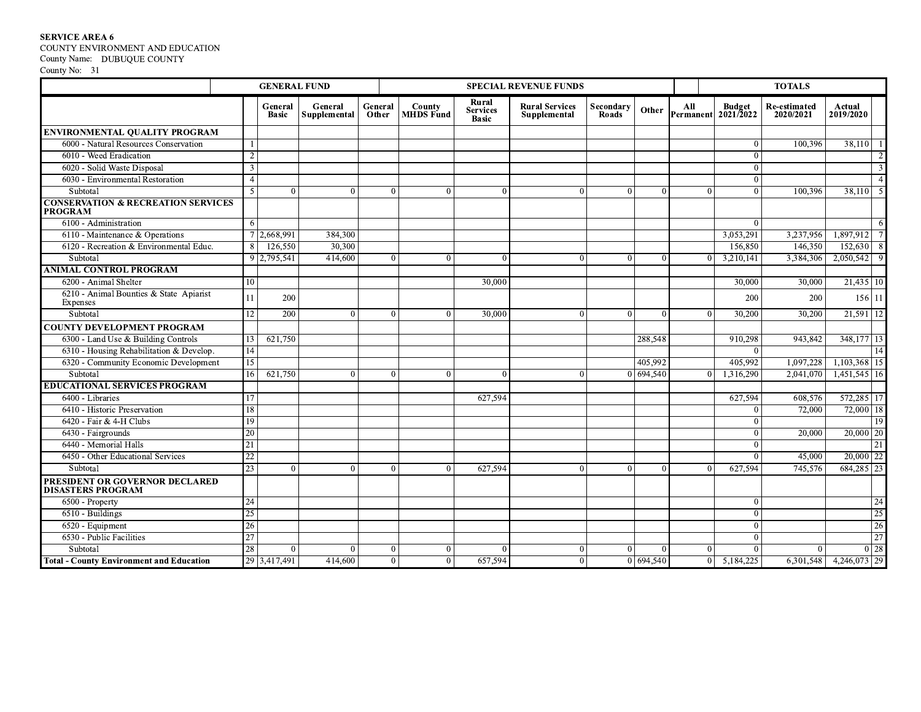SERVICE AREA 6<br>COUNTY ENVIRONMENT AND EDUCATION<br>County Name: DUBUQUE COUNTY<br>County No: 31

|                                                                 | <b>GENERAL FUND</b> |                         |                         |                  |                            |                                          | <b>SPECIAL REVENUE FUNDS</b>          |                           |           |                |                                      | <b>TOTALS</b>                    |                     |                           |
|-----------------------------------------------------------------|---------------------|-------------------------|-------------------------|------------------|----------------------------|------------------------------------------|---------------------------------------|---------------------------|-----------|----------------|--------------------------------------|----------------------------------|---------------------|---------------------------|
|                                                                 |                     | General<br><b>Basic</b> | General<br>Supplemental | General<br>Other | County<br>MHDS Fund        | Rural<br><b>Services</b><br><b>Basic</b> | <b>Rural Services</b><br>Supplemental | Secondary<br><b>Roads</b> | Other     | All            | <b>Budget</b><br>Permanent 2021/2022 | <b>Re-estimated</b><br>2020/2021 | Actual<br>2019/2020 |                           |
| <b>ENVIRONMENTAL QUALITY PROGRAM</b>                            |                     |                         |                         |                  |                            |                                          |                                       |                           |           |                |                                      |                                  |                     |                           |
| 6000 - Natural Resources Conservation                           |                     |                         |                         |                  |                            |                                          |                                       |                           |           |                | $\theta$                             | 100.396                          | 38.110              |                           |
| 6010 - Weed Eradication                                         | $\overline{2}$      |                         |                         |                  |                            |                                          |                                       |                           |           |                | $\Omega$                             |                                  |                     |                           |
| 6020 - Solid Waste Disposal                                     | $\overline{3}$      |                         |                         |                  |                            |                                          |                                       |                           |           |                | $\Omega$                             |                                  |                     |                           |
| 6030 - Environmental Restoration                                | $\overline{4}$      |                         |                         |                  |                            |                                          |                                       |                           |           |                | $\Omega$                             |                                  |                     |                           |
| Subtotal                                                        | -5                  | $\Omega$                | $\Omega$                |                  | $\theta$<br>$\theta$       | $\Omega$                                 | $\Omega$                              | $\Omega$                  | $\Omega$  | $\Omega$       | $\Omega$                             | 100,396                          | 38,110              | -5                        |
| <b>CONSERVATION &amp; RECREATION SERVICES</b><br><b>PROGRAM</b> |                     |                         |                         |                  |                            |                                          |                                       |                           |           |                |                                      |                                  |                     |                           |
| 6100 - Administration                                           | -6                  |                         |                         |                  |                            |                                          |                                       |                           |           |                | $\theta$                             |                                  |                     |                           |
| 6110 - Maintenance & Operations                                 |                     | 2,668,991               | 384,300                 |                  |                            |                                          |                                       |                           |           |                | 3,053,291                            | 3,237,956                        | 1,897,912           |                           |
| 6120 - Recreation & Environmental Educ.                         | -8                  | 126,550                 | 30,300                  |                  |                            |                                          |                                       |                           |           |                | 156,850                              | 146,350                          | 152,630             |                           |
| Subtotal                                                        | $\mathbf Q$         | 2,795,541               | 414,600                 |                  | $\Omega$<br>0              |                                          | $\Omega$                              |                           |           | $\Omega$       | 3,210,141                            | 3,384,306                        | 2,050,542           | $\mathbf{Q}$              |
| <b>ANIMAL CONTROL PROGRAM</b>                                   |                     |                         |                         |                  |                            |                                          |                                       |                           |           |                |                                      |                                  |                     |                           |
| 6200 - Animal Shelter                                           | 10                  |                         |                         |                  |                            | 30,000                                   |                                       |                           |           |                | 30,000                               | 30,000                           | $21,435$ 10         |                           |
| 6210 - Animal Bounties & State Apiarist<br>Expenses             | 11                  | 200                     |                         |                  |                            |                                          |                                       |                           |           |                | 200                                  | 200                              | 156                 | 11                        |
| Subtotal                                                        | 12                  | $\overline{200}$        | $\theta$                |                  | $\theta$<br>$\mathbf{0}$   | 30,000                                   | $\Omega$                              | $\Omega$                  | $\Omega$  | $\Omega$       | 30,200                               | 30,200                           | 21,591              | 12                        |
| <b>COUNTY DEVELOPMENT PROGRAM</b>                               |                     |                         |                         |                  |                            |                                          |                                       |                           |           |                |                                      |                                  |                     |                           |
| 6300 - Land Use & Building Controls                             | 13                  | 621,750                 |                         |                  |                            |                                          |                                       |                           | 288,548   |                | 910,298                              | 943,842                          | 348,177             | 13                        |
| 6310 - Housing Rehabilitation & Develop.                        | 14                  |                         |                         |                  |                            |                                          |                                       |                           |           |                | $\Omega$                             |                                  |                     | 14                        |
| 6320 - Community Economic Development                           | 15                  |                         |                         |                  |                            |                                          |                                       |                           | 405,992   |                | 405,992                              | 1,097,228                        | $1,103,368$ 15      |                           |
| Subtotal                                                        | 16                  | 621,750                 | $\Omega$                |                  | $\Omega$<br>$\Omega$       | $\Omega$                                 | $\Omega$                              |                           | 0 694,540 | $\Omega$       | 1,316,290                            | 2,041,070                        | 1,451,545 16        |                           |
| <b>EDUCATIONAL SERVICES PROGRAM</b>                             |                     |                         |                         |                  |                            |                                          |                                       |                           |           |                |                                      |                                  |                     |                           |
| 6400 - Libraries                                                | 17                  |                         |                         |                  |                            | 627.594                                  |                                       |                           |           |                | 627,594                              | 608,576                          | 572,285             |                           |
| 6410 - Historic Preservation                                    | 18                  |                         |                         |                  |                            |                                          |                                       |                           |           |                | $\Omega$                             | 72,000                           | 72,000 18           |                           |
| 6420 - Fair & 4-H Clubs                                         | 19                  |                         |                         |                  |                            |                                          |                                       |                           |           |                | $\Omega$                             |                                  |                     | 19                        |
| 6430 - Fairgrounds                                              | 20                  |                         |                         |                  |                            |                                          |                                       |                           |           |                | $\overline{0}$                       | 20,000                           | $20,000$ 20         |                           |
| 6440 - Memorial Halls                                           | 21                  |                         |                         |                  |                            |                                          |                                       |                           |           |                | $\Omega$                             |                                  |                     | 21                        |
| 6450 - Other Educational Services                               | $\overline{22}$     |                         |                         |                  |                            |                                          |                                       |                           |           |                | $\Omega$                             | 45,000                           | 20,000              | 22                        |
| Subtotal                                                        | 23                  | $\Omega$                | $\Omega$                |                  | $\theta$<br>0              | 627,594                                  | $\Omega$                              | $\Omega$                  | $\Omega$  | $\Omega$       | 627,594                              | 745,576                          | 684,285 23          |                           |
| PRESIDENT OR GOVERNOR DECLARED<br><b>DISASTERS PROGRAM</b>      |                     |                         |                         |                  |                            |                                          |                                       |                           |           |                |                                      |                                  |                     |                           |
| 6500 - Property                                                 | 24                  |                         |                         |                  |                            |                                          |                                       |                           |           |                | $\theta$                             |                                  |                     | 24                        |
| 6510 - Buildings                                                | $\overline{25}$     |                         |                         |                  |                            |                                          |                                       |                           |           |                | $\Omega$                             |                                  |                     | 25                        |
| 6520 - Equipment                                                | 26                  |                         |                         |                  |                            |                                          |                                       |                           |           |                | $\Omega$                             |                                  |                     | 26                        |
| 6530 - Public Facilities                                        | 27                  |                         |                         |                  |                            |                                          |                                       |                           |           |                | 0                                    |                                  |                     | 27                        |
| Subtotal                                                        | 28                  | $\Omega$                | $\Omega$                |                  | $\theta$<br>$\theta$       |                                          | $\theta$                              |                           |           | $\Omega$       | $\Omega$                             | $\Omega$                         |                     | $0\overline{\smash{)}28}$ |
| <b>Total - County Environment and Education</b>                 |                     | 29 3,417,491            | 414,600                 |                  | $\overline{0}$<br>$\Omega$ | 657,594                                  | $\Omega$                              |                           | 0 694,540 | 0 <sup>1</sup> | 5,184,225                            | 6,301,548                        | $4,246,073$ 29      |                           |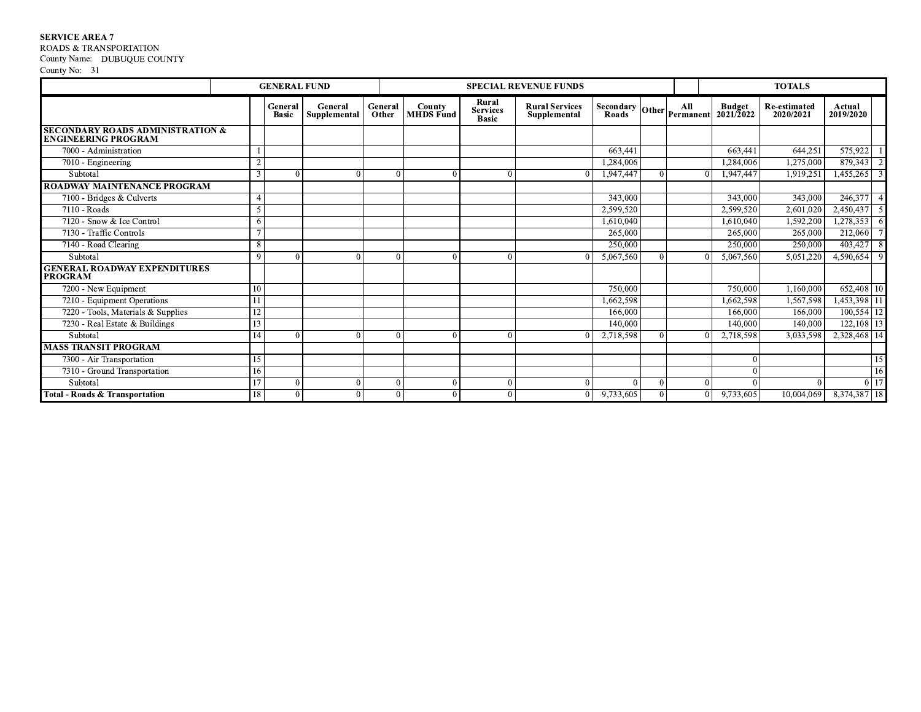## **SERVICE AREA 7**

ROADS & TRANSPORTATION

## County Name: DUBUQUE COUNTY

|                                                                           |             | <b>GENERAL FUND</b>     |                         |                  |                            |                                          | <b>SPECIAL REVENUE FUNDS</b>          |                 |          |                                              | <b>TOTALS</b>                    |                     |                 |
|---------------------------------------------------------------------------|-------------|-------------------------|-------------------------|------------------|----------------------------|------------------------------------------|---------------------------------------|-----------------|----------|----------------------------------------------|----------------------------------|---------------------|-----------------|
|                                                                           |             | General<br><b>Basic</b> | General<br>Supplemental | General<br>Other | County<br><b>MHDS</b> Fund | Rural<br><b>Services</b><br><b>Basic</b> | <b>Rural Services</b><br>Supplemental | Secondary Other | All      | <b>Budget</b><br>Permanent $2021/\bar{2}022$ | <b>Re-estimated</b><br>2020/2021 | Actual<br>2019/2020 |                 |
| <b>SECONDARY ROADS ADMINISTRATION &amp;</b><br><b>ENGINEERING PROGRAM</b> |             |                         |                         |                  |                            |                                          |                                       |                 |          |                                              |                                  |                     |                 |
| 7000 - Administration                                                     |             |                         |                         |                  |                            |                                          |                                       | 663,441         |          | 663.441                                      | $\overline{6}$ 44,251            | 575,922             |                 |
| 7010 - Engineering                                                        | $\sim$      |                         |                         |                  |                            |                                          |                                       | 1,284,006       |          | 1,284,006                                    | 1,275,000                        | 879,343             | $\overline{2}$  |
| Subtotal                                                                  | 3           |                         |                         |                  |                            |                                          |                                       | 1,947,447       |          | 1,947,447                                    | 1,919,251                        | 1,455,265           | $\overline{3}$  |
| ROADWAY MAINTENANCE PROGRAM                                               |             |                         |                         |                  |                            |                                          |                                       |                 |          |                                              |                                  |                     |                 |
| 7100 - Bridges & Culverts                                                 |             |                         |                         |                  |                            |                                          |                                       | 343,000         |          | 343,000                                      | 343,000                          | 246,377             | $\overline{4}$  |
| 7110 - Roads                                                              | 5           |                         |                         |                  |                            |                                          |                                       | 2.599.520       |          | 2.599.520                                    | 2,601,020                        | 2,450,437           | $\overline{5}$  |
| 7120 - Snow & Ice Control                                                 |             |                         |                         |                  |                            |                                          |                                       | 1.610.040       |          | 1.610.040                                    | 1,592,200                        | 1,278,353           | -6              |
| 7130 - Traffic Controls                                                   |             |                         |                         |                  |                            |                                          |                                       | 265,000         |          | 265,000                                      | 265,000                          | 212,060             |                 |
| 7140 - Road Clearing                                                      | 8           |                         |                         |                  |                            |                                          |                                       | 250,000         |          | 250,000                                      | 250,000                          | 403,427             | 8               |
| Subtotal                                                                  | $\mathbf Q$ |                         |                         |                  |                            |                                          |                                       | 5.067.560       |          | 5.067.560                                    | 5,051,220                        | 4,590,654           | 9               |
| <b>GENERAL ROADWAY EXPENDITURES</b><br><b>PROGRAM</b>                     |             |                         |                         |                  |                            |                                          |                                       |                 |          |                                              |                                  |                     |                 |
| 7200 - New Equipment                                                      |             |                         |                         |                  |                            |                                          |                                       | 750,000         |          | 750,000                                      | 1,160,000                        | 652,408 10          |                 |
| 7210 - Equipment Operations                                               |             |                         |                         |                  |                            |                                          |                                       | 1,662,598       |          | 1,662,598                                    | 1,567,598                        | 1,453,398 11        |                 |
| 7220 - Tools, Materials & Supplies                                        |             |                         |                         |                  |                            |                                          |                                       | 166,000         |          | 166,000                                      | 166,000                          | 100,554 12          |                 |
| 7230 - Real Estate & Buildings                                            | 13          |                         |                         |                  |                            |                                          |                                       | 140,000         |          | 140,000                                      | 140,000                          | 122,108 13          |                 |
| Subtotal                                                                  |             |                         |                         |                  |                            |                                          | $\Omega$                              | 2,718,598       |          | 2,718,598                                    | 3,033,598                        | 2,328,468 14        |                 |
| <b>MASS TRANSIT PROGRAM</b>                                               |             |                         |                         |                  |                            |                                          |                                       |                 |          |                                              |                                  |                     |                 |
| 7300 - Air Transportation                                                 |             |                         |                         |                  |                            |                                          |                                       |                 |          |                                              |                                  |                     | $\overline{15}$ |
| 7310 - Ground Transportation                                              | 16          |                         |                         |                  |                            |                                          |                                       |                 |          |                                              |                                  |                     | 16              |
| Subtotal                                                                  |             | $\Omega$                |                         | $\Omega$         |                            |                                          | $\Omega$                              | $\Omega$        | $\Omega$ |                                              |                                  |                     | $0\vert 17$     |
| Total - Roads & Transportation                                            | 18          | 0                       |                         |                  |                            |                                          | $\mathbf{0}$                          | 9,733,605       | $\Omega$ | 9,733,605                                    | 10,004,069                       | 8,374,387 18        |                 |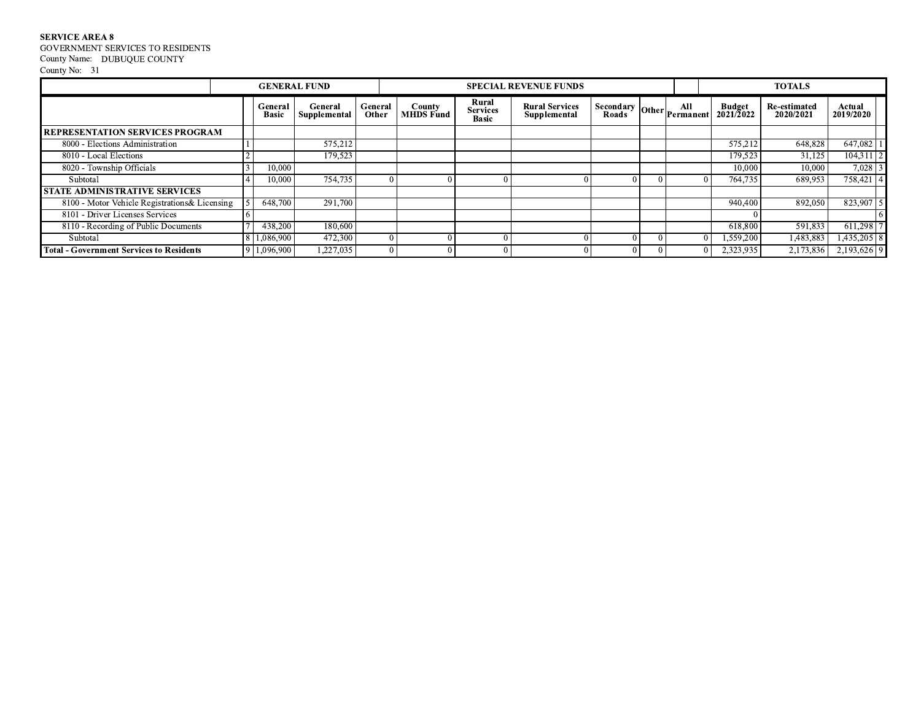${\tt SERVICE}$  AREA  ${\tt 8}$  GOVERNMENT SERVICES TO RESIDENTS County Name: DUBUQUE COUNTY

|                                                 | <b>GENERAL FUND</b> |                         |                         |                  |                                   |                                          | <b>SPECIAL REVENUE FUNDS</b>          |                                                 |          |                                    | <b>TOTALS</b>                    |                                  |
|-------------------------------------------------|---------------------|-------------------------|-------------------------|------------------|-----------------------------------|------------------------------------------|---------------------------------------|-------------------------------------------------|----------|------------------------------------|----------------------------------|----------------------------------|
|                                                 |                     | General<br><b>Basic</b> | General<br>Supplemental | General<br>Other | <b>County</b><br><b>MHDS</b> Fund | Rural<br><b>Services</b><br><b>Basic</b> | <b>Rural Services</b><br>Supplemental | $ \sec{ondary}\overline{right} $ Other $ perim$ |          | <b>Budget</b><br>$2021/\bar{2}022$ | <b>Re-estimated</b><br>2020/2021 | Actual<br>2019/2020              |
| <b>REPRESENTATION SERVICES PROGRAM</b>          |                     |                         |                         |                  |                                   |                                          |                                       |                                                 |          |                                    |                                  |                                  |
| 8000 - Elections Administration                 |                     |                         | 575,212                 |                  |                                   |                                          |                                       |                                                 |          | 575,212                            | 648,828                          | 647,082                          |
| 8010 - Local Elections                          |                     |                         | 179,523                 |                  |                                   |                                          |                                       |                                                 |          | 179,523                            | 31,125                           | $\overline{2}$<br>104,311        |
| 8020 - Township Officials                       |                     | 10,000                  |                         |                  |                                   |                                          |                                       |                                                 |          | 10.000                             | 10,000                           | $\overline{\mathbf{3}}$<br>7,028 |
| Subtotal                                        |                     | 10.000                  | 754,735                 |                  |                                   |                                          |                                       |                                                 | $\Omega$ | 764,735                            | 689,953                          | $758,421$  4                     |
| <b>I STATE ADMINISTRATIVE SERVICES</b>          |                     |                         |                         |                  |                                   |                                          |                                       |                                                 |          |                                    |                                  |                                  |
| 8100 - Motor Vehicle Registrations & Licensing  |                     | 648,700                 | 291,700                 |                  |                                   |                                          |                                       |                                                 |          | 940,400                            | 892,050                          | 5 <sub>l</sub><br>823,907        |
| 8101 - Driver Licenses Services                 |                     |                         |                         |                  |                                   |                                          |                                       |                                                 |          |                                    |                                  |                                  |
| 8110 - Recording of Public Documents            |                     | 438,200                 | 180,600                 |                  |                                   |                                          |                                       |                                                 |          | 618,800                            | 591,833                          | 611,298                          |
| Subtotal                                        |                     | 1.086.900               | 472,300                 |                  | 0                                 |                                          |                                       |                                                 |          | 1,559,200                          | 1,483,883                        | $1,435,205$ 8                    |
| <b>Total - Government Services to Residents</b> |                     | 9 1,096,900             | 1,227,035               |                  | $\theta$                          |                                          |                                       | 01                                              | $\theta$ | 2,323,935                          | 2,173,836                        | $2,193,626$ 9                    |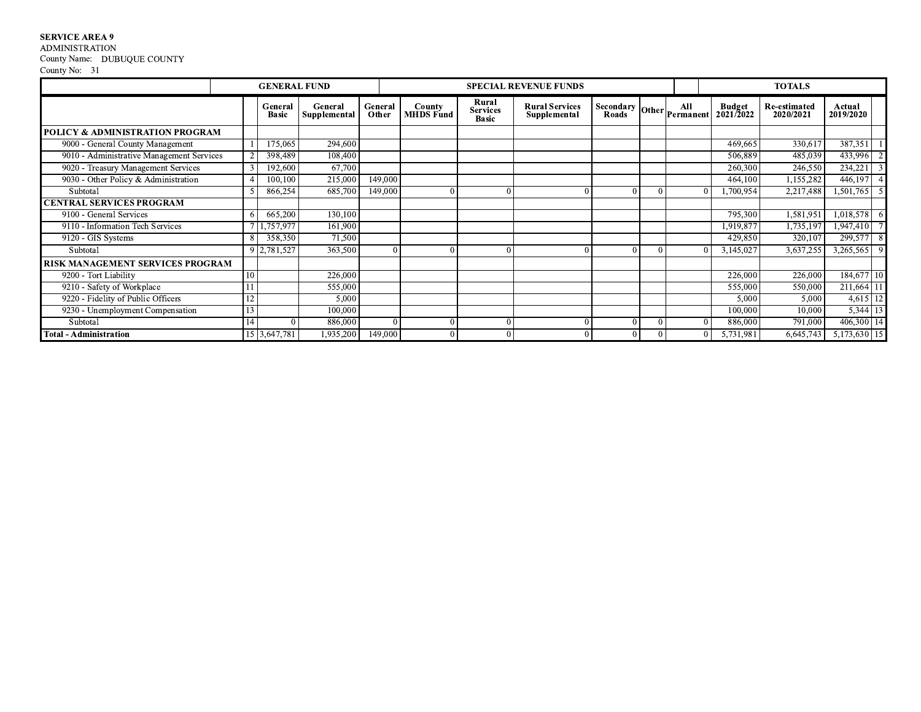# **SERVICE AREA 9<br>ADMINISTRATION**

County Name: DUBUQUE COUNTY<br>County No: 31

|                                            |                | <b>GENERAL FUND</b>     |                         |                  |                     |                                          | <b>SPECIAL REVENUE FUNDS</b>          |                           |  |                                    | <b>TOTALS</b>             |                             |
|--------------------------------------------|----------------|-------------------------|-------------------------|------------------|---------------------|------------------------------------------|---------------------------------------|---------------------------|--|------------------------------------|---------------------------|-----------------------------|
|                                            |                | General<br><b>Basic</b> | General<br>Supplemental | General<br>Other | County<br>MHDS Fund | Rural<br><b>Services</b><br><b>Basic</b> | <b>Rural Services</b><br>Supplemental | Secondary Other Permanent |  | <b>Budget</b><br>$2021/\bar{2}022$ | Re-estimated<br>2020/2021 | Actual<br>2019/2020         |
| <b>POLICY &amp; ADMINISTRATION PROGRAM</b> |                |                         |                         |                  |                     |                                          |                                       |                           |  |                                    |                           |                             |
| 9000 - General County Management           |                | 175,065                 | 294,600                 |                  |                     |                                          |                                       |                           |  | 469,665                            | 330,617                   | 387,351                     |
| 9010 - Administrative Management Services  |                | 398,489                 | 108,400                 |                  |                     |                                          |                                       |                           |  | 506,889                            | 485,039                   | 433,996                     |
| 9020 - Treasury Management Services        |                | 192,600                 | 67,700                  |                  |                     |                                          |                                       |                           |  | 260,300                            | 246,550                   | 234,221                     |
| 9030 - Other Policy & Administration       |                | 100,100                 | 215,000                 | 149,000          |                     |                                          |                                       |                           |  | 464,100                            | 1,155,282                 | 446,197                     |
| Subtotal                                   |                | 866,254                 | 685,700                 | 149,000          | $\Omega$            |                                          |                                       |                           |  | ,700,954                           | 2,217,488                 | 1,501,765<br>5 <sub>l</sub> |
| <b>CENTRAL SERVICES PROGRAM</b>            |                |                         |                         |                  |                     |                                          |                                       |                           |  |                                    |                           |                             |
| 9100 - General Services                    |                | 665,200                 | 130,100                 |                  |                     |                                          |                                       |                           |  | 795,300                            | 1,581,951                 | $1,018,578$ 6               |
| 9110 - Information Tech Services           |                | ,757,977                | 161,900                 |                  |                     |                                          |                                       |                           |  | 1,919,877                          | 1,735,197                 | 1,947,410                   |
| $\overline{9120}$ - GIS Systems            |                | 358,350                 | 71,500                  |                  |                     |                                          |                                       |                           |  | 429,850                            | 320,107                   | 8<br>299,577                |
| Subtotal                                   |                | 9 2,781,527             | 363,500                 |                  |                     |                                          |                                       |                           |  | 3,145,027                          | 3,637,255                 | 3,265,565<br>$\overline{9}$ |
| <b>RISK MANAGEMENT SERVICES PROGRAM</b>    |                |                         |                         |                  |                     |                                          |                                       |                           |  |                                    |                           |                             |
| 9200 - Tort Liability                      | 10             |                         | 226,000                 |                  |                     |                                          |                                       |                           |  | 226,000                            | 226,000                   | 184,677 10                  |
| 9210 - Safety of Workplace                 |                |                         | 555,000                 |                  |                     |                                          |                                       |                           |  | 555,000                            | 550,000                   | 211,664 11                  |
| 9220 - Fidelity of Public Officers         | 1 <sub>2</sub> |                         | 5,000                   |                  |                     |                                          |                                       |                           |  | 5,000                              | 5,000                     | $4,615$ 12                  |
| 9230 - Unemployment Compensation           |                |                         | 100,000                 |                  |                     |                                          |                                       |                           |  | 100,000                            | 10,000                    | $5,344$ 13                  |
| Subtotal                                   |                |                         | 886,000                 |                  |                     |                                          |                                       |                           |  | 886,000                            | 791,000                   | 406,300   14                |
| <b>Total - Administration</b>              |                | 15 3,647,781            | 1,935,200               | 149,000          | $\theta$            |                                          |                                       |                           |  | 5,731,981                          | 6,645,743                 | $5,173,630$ 15              |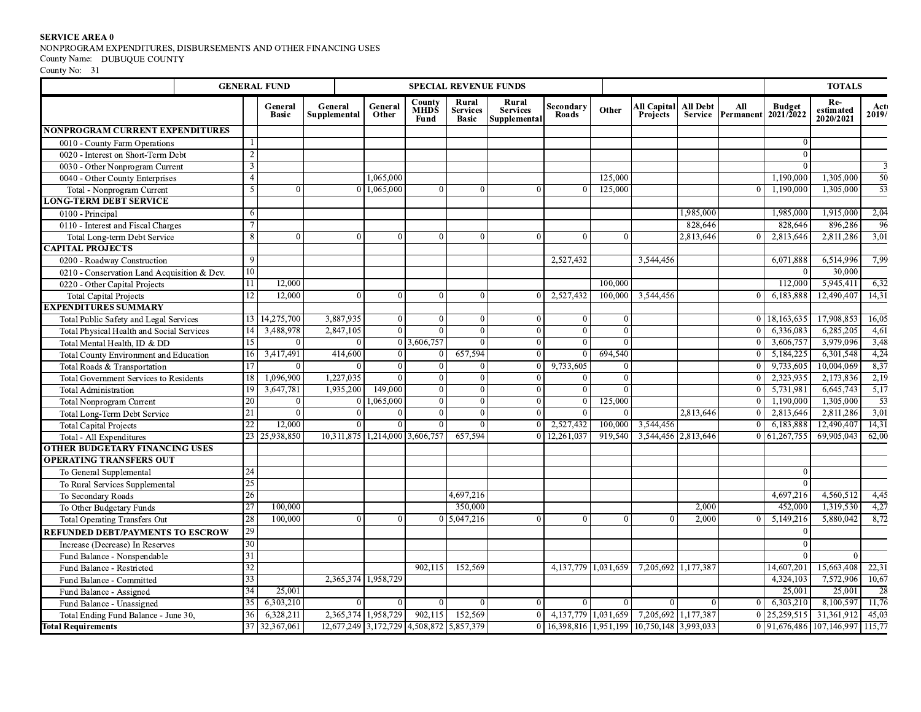|                                                                              |     | <b>GENERAL FUND</b>     | <b>SPECIAL REVENUE FUNDS</b>             |                     |              |                          |                                 |                    |                         |                                                                                                                  |                 | <b>TOTALS</b>            |                             |                                 |                 |
|------------------------------------------------------------------------------|-----|-------------------------|------------------------------------------|---------------------|--------------|--------------------------|---------------------------------|--------------------|-------------------------|------------------------------------------------------------------------------------------------------------------|-----------------|--------------------------|-----------------------------|---------------------------------|-----------------|
|                                                                              |     |                         |                                          |                     | County       | Rural                    | Rural                           |                    |                         |                                                                                                                  |                 |                          |                             | Re-                             |                 |
|                                                                              |     | General<br><b>Basic</b> | General<br>Supplemental                  | General<br>Other    | MHDŠ<br>Fund | <b>Services</b><br>Basic | <b>Services</b><br>Supplemental | Secondary<br>Roads | Other                   | All Capital<br><b>Projects</b>                                                                                   | <b>All Debt</b> | All<br>Service Permanent | <b>Budget<br/>2021/2022</b> | estimated<br>2020/2021          | Act<br>2019/    |
| NONPROGRAM CURRENT EXPENDITURES                                              |     |                         |                                          |                     |              |                          |                                 |                    |                         |                                                                                                                  |                 |                          |                             |                                 |                 |
| 0010 - County Farm Operations                                                |     |                         |                                          |                     |              |                          |                                 |                    |                         |                                                                                                                  |                 |                          |                             |                                 |                 |
| 0020 - Interest on Short-Term Debt                                           |     |                         |                                          |                     |              |                          |                                 |                    |                         |                                                                                                                  |                 |                          | $\Omega$                    |                                 |                 |
| 0030 - Other Nonprogram Current                                              |     |                         |                                          |                     |              |                          |                                 |                    |                         |                                                                                                                  |                 |                          |                             |                                 |                 |
| 0040 - Other County Enterprises                                              |     |                         |                                          | 1,065,000           |              |                          |                                 |                    | 125,000                 |                                                                                                                  |                 |                          | 1,190,000                   | 1,305,000                       | 50              |
| Total - Nonprogram Current                                                   |     |                         |                                          | 1,065,000           |              |                          |                                 |                    | 125,000                 |                                                                                                                  |                 |                          | 1,190,000                   | 1,305,000                       | $\overline{53}$ |
| <b>LONG-TERM DEBT SERVICE</b>                                                |     |                         |                                          |                     |              |                          |                                 |                    |                         |                                                                                                                  |                 |                          |                             |                                 |                 |
| 0100 - Principal                                                             |     |                         |                                          |                     |              |                          |                                 |                    |                         |                                                                                                                  | 1,985,000       |                          | 1,985,000                   | 1,915,000                       | 2,04            |
| 0110 - Interest and Fiscal Charges                                           |     |                         |                                          |                     |              |                          |                                 |                    |                         |                                                                                                                  | 828,646         |                          | 828,646                     | 896,286                         | 96              |
| Total Long-term Debt Service                                                 |     |                         |                                          |                     |              |                          |                                 |                    | $\Omega$                |                                                                                                                  | 2,813,646       |                          | 2,813,646                   | 2,811,286                       | 3,01            |
| <b>CAPITAL PROJECTS</b>                                                      |     |                         |                                          |                     |              |                          |                                 | 2,527,432          |                         | 3,544,456                                                                                                        |                 |                          |                             | 6,514,996                       | 7,99            |
| 0200 - Roadway Construction                                                  | 10  |                         |                                          |                     |              |                          |                                 |                    |                         |                                                                                                                  |                 |                          | 6,071,888                   | 30,000                          |                 |
| 0210 - Conservation Land Acquisition & Dev.<br>0220 - Other Capital Projects |     | 12,000                  |                                          |                     |              |                          |                                 |                    | 100,000                 |                                                                                                                  |                 |                          | 112,000                     | 5,945,411                       | 6,32            |
| <b>Total Capital Projects</b>                                                | 12  | 12,000                  | $\Omega$                                 |                     |              |                          |                                 | 2,527,432          | 100,000                 | 3,544,456                                                                                                        |                 |                          | 6,183,888                   | 12,490,407                      | 14,31           |
| <b>EXPENDITURES SUMMARY</b>                                                  |     |                         |                                          |                     |              |                          |                                 |                    |                         |                                                                                                                  |                 |                          |                             |                                 |                 |
| Total Public Safety and Legal Services                                       |     | 13 14,275,700           | 3,887,935                                | $\Omega$            |              | $\Omega$                 | $\Omega$                        | $\Omega$           | $\Omega$                |                                                                                                                  |                 |                          | 18,163,635                  | 17,908,853                      | 16,05           |
| Total Physical Health and Social Services                                    | 14  | 3,488,978               | 2,847,105                                | $\Omega$            |              |                          |                                 | $\Omega$           | $\theta$                |                                                                                                                  |                 |                          | 6,336,083                   | 6,285,205                       | 4,61            |
| Total Mental Health, ID & DD                                                 | 15  | $\vert$ 0               | $^{\circ}$                               |                     | 0 3,606,757  | $\Omega$                 | $\overline{0}$                  | $\Omega$           | $\overline{0}$          |                                                                                                                  |                 |                          | 3,606,757                   | 3,979,096                       | 3,48            |
| Total County Environment and Education                                       | 16  | 3,417,491               | 414,600                                  | $\Omega$            |              | 657,594                  | $\Omega$                        |                    | 694,540                 |                                                                                                                  |                 |                          | 5,184,225                   | 6,301,548                       | 4,24            |
| Total Roads & Transportation                                                 | 17  |                         |                                          | $\sqrt{ }$          |              |                          |                                 | 9,733,605          | $\Omega$                |                                                                                                                  |                 |                          | 9,733,605                   | 10,004,069                      | 8,37            |
| Total Government Services to Residents                                       | 18  | 1,096,900               | 1,227,035                                | $\Omega$            | $\Omega$     | $\Omega$                 | $\Omega$                        | $\theta$           | $\mathbf{0}$            |                                                                                                                  |                 |                          | 2,323,935                   | 2,173,836                       | 2,19            |
| <b>Total Administration</b>                                                  | -19 | 3,647,781               | 1,935,200                                | 149,000             |              |                          | 0                               | $\Omega$           | $\Omega$                |                                                                                                                  |                 |                          | 5,731,981                   | 6,645,743                       | 5,17            |
| <b>Total Nonprogram Current</b>                                              | 20  | $\vert 0 \vert$         |                                          | 0 1,065,000         | $\Omega$     | $\Omega$                 | $\Omega$                        |                    | 125,000                 |                                                                                                                  |                 |                          | 1,190,000                   | 1,305,000                       | $\overline{53}$ |
| Total Long-Term Debt Service                                                 | 21  | $\Omega$                | $\overline{0}$                           | - 0                 | $\Omega$     | $\Omega$                 | $\Omega$                        | $\Omega$           | $\Omega$                |                                                                                                                  | 2,813,646       |                          | 2,813,646                   | 2,811,286                       | 3,01            |
| <b>Total Capital Projects</b>                                                | 22  | 12,000                  |                                          |                     |              |                          |                                 | 2,527,432          | 100,000                 | 3,544,456                                                                                                        |                 |                          | 6,183,888                   | 12,490,407                      | 14,31           |
| Total - All Expenditures                                                     |     | 23 25,938,850           | 10,311,875 1,214,000 3,606,757           |                     |              | 657,594                  |                                 | 0 12, 261, 037     | 919,540                 | 3,544,456 2,813,646                                                                                              |                 |                          | 0 61, 267, 755              | 69,905,043                      | 62,00           |
| OTHER BUDGETARY FINANCING USES                                               |     |                         |                                          |                     |              |                          |                                 |                    |                         |                                                                                                                  |                 |                          |                             |                                 |                 |
| <b>OPERATING TRANSFERS OUT</b>                                               | 24  |                         |                                          |                     |              |                          |                                 |                    |                         |                                                                                                                  |                 |                          |                             |                                 |                 |
| To General Supplemental                                                      | 25  |                         |                                          |                     |              |                          |                                 |                    |                         |                                                                                                                  |                 |                          | $\Omega$                    |                                 |                 |
| To Rural Services Supplemental<br>To Secondary Roads                         | 26  |                         |                                          |                     |              | 4,697,216                |                                 |                    |                         |                                                                                                                  |                 |                          | 4,697,216                   | 4,560,512                       | 4,45            |
| To Other Budgetary Funds                                                     | 27  | 100,000                 |                                          |                     |              | 350,000                  |                                 |                    |                         |                                                                                                                  | 2,000           |                          | 452,000                     | 1,319,530                       | 4,27            |
| <b>Total Operating Transfers Out</b>                                         | 28  | 100,000                 |                                          |                     |              | $0 \mid 5,047,216$       |                                 |                    | $\theta$                |                                                                                                                  | 2,000           |                          | 5,149,216                   | 5,880,042                       | 8,72            |
| <b>REFUNDED DEBT/PAYMENTS TO ESCROW</b>                                      | 29  |                         |                                          |                     |              |                          |                                 |                    |                         |                                                                                                                  |                 |                          | $\bf{0}$                    |                                 |                 |
| Increase (Decrease) In Reserves                                              | 30  |                         |                                          |                     |              |                          |                                 |                    |                         |                                                                                                                  |                 |                          | $\overline{0}$              |                                 |                 |
| Fund Balance - Nonspendable                                                  | 31  |                         |                                          |                     |              |                          |                                 |                    |                         |                                                                                                                  |                 |                          |                             | $\Omega$                        |                 |
| Fund Balance - Restricted                                                    | 32  |                         |                                          |                     | 902,115      | 152,569                  |                                 |                    | 4, 137, 779 1, 031, 659 | 7,205,692 1,177,387                                                                                              |                 |                          | 14,607,201                  | 15,663,408                      | 22,31           |
| Fund Balance - Committed                                                     | 33  |                         | 2,365,374 1,958,729                      |                     |              |                          |                                 |                    |                         |                                                                                                                  |                 |                          | 4,324,103                   | 7,572,906 10,67                 |                 |
| Fund Balance - Assigned                                                      | 34  | 25,001                  |                                          |                     |              |                          |                                 |                    |                         |                                                                                                                  |                 |                          | 25,001                      | 25,001                          | -28             |
| Fund Balance - Unassigned                                                    | 35  | 6,303,210               | $\Omega$                                 |                     |              |                          |                                 |                    | $\theta$                |                                                                                                                  |                 |                          | 6,303,210                   | 8,100,597 11,76                 |                 |
| Total Ending Fund Balance - June 30,                                         | 36  | 6,328,211               |                                          | 2,365,374 1,958,729 |              | 902,115 152,569          |                                 |                    |                         | $\begin{array}{ c c c c c c c c c } \hline 0 & 4,137,779 & 1,031,659 & 7,205,692 & 1,177,387 \hline \end{array}$ |                 |                          | $0$   25,259,515            | $31,361,912$ 45,03              |                 |
| <b>Total Requirements</b>                                                    | 37  | 32,367,061              | 12,677,249 3,172,729 4,508,872 5,857,379 |                     |              |                          |                                 |                    |                         | 0 16,398,816 1,951,199 10,750,148 3,993,033                                                                      |                 |                          |                             | 0 91,676,486 107,146,997 115,77 |                 |